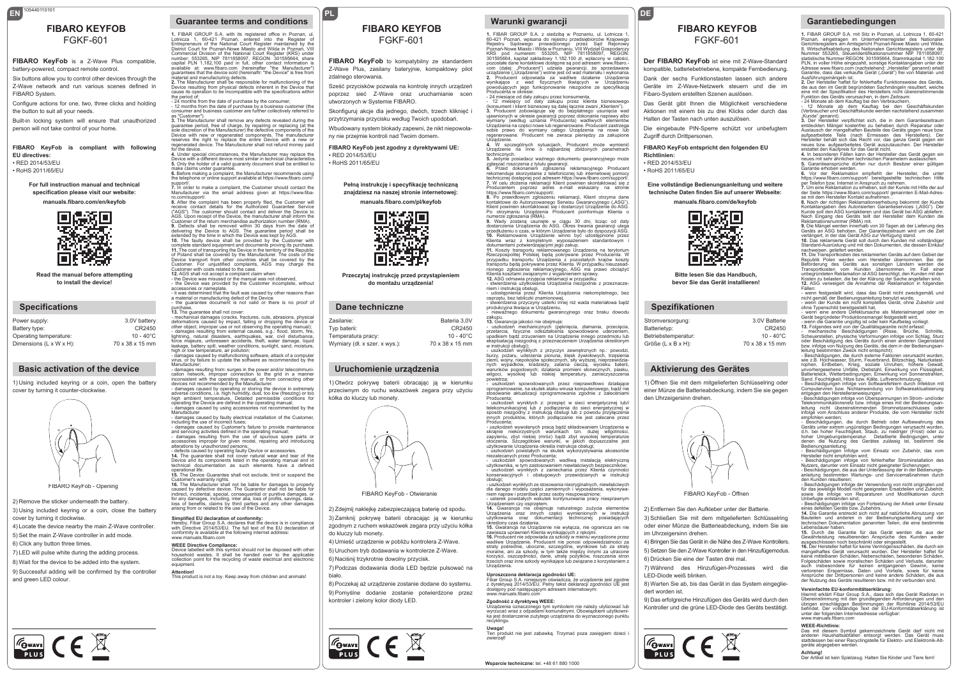# FGKF-601

EN <sup>105440110101</sup>

#### **FIBARO KeyFob** is a Z-Wave Plus compatible, battery-powered, compact remote control.

Six buttons allow you to control other devices through the Z-Wave network and run various scenes defined in FIBARO System.

Configure actions for one, two, three clicks and holding the button to suit all your needs.

Built-in locking system will ensure that unauthorized person will not take control of your home.

**FIBARO KeyFob is compliant with following EU directives:** • RED 2014/53/EU • RoHS 2011/65/EL

**For full instruction manual and technical specification please visit our website: manuals.fibaro.com/en/keyfob**



**Read the manual before attempting to install the device!**

#### **Specifications**

| Power supply:                        | 3.0V battery        |
|--------------------------------------|---------------------|
| Battery type:                        | CR2450              |
| Operating temperature:               | $10 - 40^{\circ}$ C |
| Dimensions $(L \times W \times H)$ : | 70 x 38 x 15 mm     |
|                                      |                     |

### **Basic activation of the device**

1) Using included keyring or a coin, open the battery cover by turning it counter-clockwise.



FIBARO KeyFob - Opening

2) Remove the sticker underneath the battery. 3) Using included keyring or a coin, close the battery cover by turning it clockwise.

4) Locate the device nearby the main Z-Wave controller. 5) Set the main Z-Wave controller in add mode.

6) Click any button three times.

**FOWAVE** CE X

7) LED will pulse white during the adding process. 8) Wait for the device to be added into the system.

9) Successful adding will be confirmed by the controller and green LED colour.

#### **EN PL Guarantee terms and conditions**

**1.** FIBAR GROUP S.A. with its registered office in Poznan, ul. Lotnicza 1, 60-421 Poznań, entered into the Register of Entrepreneurs of the National Court Register maintained by the Upperfocurt for Poznań-Nowe Miasto and Wilda in Poznań, VII<br>Intrict Court for Poznań-Nowe Miasto and Wilda in Poznań, VII Commercial Division of the National Court Register (KRS) under<br>number: 553265, NIP 7811858097, REGON: 301595664, share<br>capital PLN 1,182,100 paid in full, other contact information is<br>available at: www.fibaro.com (hereinaf material and manufacturing defects. **2.** The Manufacturer shall be responsible for malfunctioning of the Device resulting from physical defects inherent in the Device that cause its operation to be incompatible with the specifications within

the period of: - 24 months from the date of purchase by the consumer, - 12 months from the date of purchase by a business customer (the consumer and business customer are further collectively referred to

as "Customer"). **3.** The Manufacturer shall remove any defects revealed during the guarantee period, free of charge, by repairing or replacing (at the sole discretion of the Manufacturer) the defective components of the Device with new or regenerated components. The manufacturer<br>reserves the right to replace the entire Device with a new or<br>regenerated device. The Manufacturer shall not refund money paid

for the device. **4.** Under special circumstances, the Manufacturer may replace the Device with a different device most similar in technical characteristics. **5.** Only the holder of a valid guaranty document shall be entitled to

make claims under guarantee.<br>**6.** Before making a complaint, the Manufacturer recommends using<br>the telephone or online support available at https://www.fibaro.com/-<br>support/.

**7.** In order to make a complaint, the Customer should contact the<br>Manufacturer via the email address given at https://www.fiba-<br>ro.com/support/. **8.** After the complaint has been properly filed, the Customer will

receive contact details for the Authorized Guarantee Service<br>("AGS"). The customer should contact and deliver the Device to ("AGS"). The customer should contact and deliver the Device to<br>AGS. Upon receipt of the Device, the manufacturer shall inform the<br>Customer of the return merchandise authorization number (RMA).<br>9. Defects shall be removed w extended by the time in which the Device was kept by AGS. **10.** The faulty device shall be provided by the Customer with

complete standard equipment and documents proving its purchase.<br>11. The cost of transporting the Device in the territory of the Republic<br>of Poland shall be covered by the Manufacturer. The costs of the<br>Device transport fro

- the Device was misused or the manual was not observed,<br>- the Device was provided by the Customer incomplete, without<br>accessories or namenlate accessories or nameplate,<br>- it was determined that the fault was caused by other reasons than<br>a material or manufacturing defect of the Device<br>- the guarantee document is not valid or there is no proof of

purchase,<br>**13.** The guarantee shall not cover:<br>- mechanical damages (cracks, fractures, cuts, abrasions, physical deformations caused by impact, falling or dropping the device or other object, improper use or not observing the operating manual); - damages resulting from external causes, e.g.: flood, storm, fire,<br>lightning, natural disasters, earthquakes, war, civil disturbance,<br>force majeure, unforeseen accidents, theft, water damage, liquid<br>leakage, battery spill

high or low temperature, air pollution; - damages caused by malfunctioning software, attack of a computer virus, or by failure to update the software as recommended by the .<br>Manufacturer;<br>- damages resulting from: surges in the power and/or telecommuni

- damages resulting from : surges in the power and/or telecommuni-<br>cation network, improper connection to the grid in a manner<br>inconsistent with the operating manual, or from connecting other<br>devices not recommended by the

operating the Device are defined in the operating manual; - damages caused by using accessories not recommended by the Manufacturer

- damages caused by faulty electrical installation of the Customer,<br>including the use of incorrect fuses;<br>- damages caused by Customer's failure to provide maintenance<br>and servicing activities defined in the operating manu alterations by unauthorized persons;

- defects caused by operating faulty Device or accessories. **14.** The guarantee shall not cover natural wear and tear of the Device and its components listed in the operating manual and in technical documentation as such elements have a defined operational life.

**15.** The Device Guarantee shall not exclude, limit or suspend the Customer's warranty rights. **16.** The Manufacturer shall not be liable for damages to property

caused by defective device. The Guarantor shall not be liable for indirect, incidental, special, consequential or punitive damages, or for any damages, including, inter alia, loss of profits, savings, data, loss of benefits, claims by third parties and any other damages arising from or related to the use of the Device.

#### **Simplified EU declaration of conformity:**

Hereby, Fibar Group S.A. declares that the device is in compliance with Directive 2014/53/EU. The full text of the EU declaration of conformity is available at the following internet address: www.manuals.fibaro.com

**WEEE Directive Compliance:**  Device labelled with this symbol should not be disposed with other household wastes. It shall be handed over to the applicable collection point for the recycling of waste electrical and electronic equipment.

**Attention!** This product is not a toy. Keep away from children and animals!

**FIBARO KEYFOB Guarantee terms and conditions FIBARO KEYFOB Warunki gwarancji**<br>The centre of the integrator of the integrator of the integrator of the integrator of the integrator of the second solutions. **FIBARO KEYFOB**

### FGKF-601

**FIBARO KeyFob** to kompatybilny ze standardem Z-Wave Plus, zasilany bateryjnie, kompaktowy pilot zdalnego sterowania

Sześć przycisków pozwala na kontrolę innych urządzeń poprzez sieć Z-Wave oraz uruchamianie scen utworzonych w Systemie FIBARO.

Skonfiguruj akcje dla jednego, dwóch, trzech kliknięć i przytrzymania przycisku według Twoich upodobań.

Wbudowany system blokady zapewni, że nikt niepowoła-

ny nie przejmie kontroli nad Twoim domem.

**FIBARO KeyFob jest zgodny z dyrektywami UE:** • RED 2014/53/EU • RoHS 2011/65/EU

> **Pełną instrukcję i specyfikację techniczną znajdziesz na naszej stronie internetowej:**

**manuals.fibaro.com/pl/keyfob**



**Przeczytaj instrukcję przed przystąpieniem do montażu urządzenia!**

#### **Dane techniczne**

| Zasilanie:                    | Bateria 3.0V        |
|-------------------------------|---------------------|
| Typ baterii:                  | CR2450              |
| Temperatura pracy:            | $10 - 40^{\circ}$ C |
| Wymiary (dł. x szer. x wys.): | 70 x 38 x 15 mm     |
|                               |                     |

#### **Uruchomienie urządzenia**

1) Otwórz pokrywę baterii obracając ją w kierunku przeciwnym do ruchu wskazówek zegara przy użyciu kółka do kluczy lub monety.



FIBARO KeyFob - Otwieranie

2) Zdejmij naklejkę zabezpieczającą baterię od spodu. 3) Zamknij pokrywę baterii obracając ją w kierunku

zgodnym z ruchem wskazówek zegara przy użyciu kółka do kluczy lub monety.

4) Umieść urządzenie w pobliżu kontrolera Z-Wave. 5) Uruchom tryb dodawania w kontrolerze Z-Wave. 6) Naciśnij trzykrotnie dowolny przycisk.

7) Podczas dodawania dioda LED będzie pulsować na

biało. 8) Poczekaj aż urządzenie zostanie dodane do systemu. 9) Pomyślne dodanie zostanie potwierdzone przez



kontroler i zielony kolor diody LED.

## **1.** FIBAR GROUP S.A. z siedzibą w Poznaniu, ul. Lotnicza 1, 60-421 Poznań, wpisana do rejestru przedsiębiorców Krajowego Rejestru Sądowego prowadzonego przez Sąd Rejonowy Poznań-Nowe Miasto i Wilda w Poznaniu, VIII Wydział Gospodarczy KRS pod numerem: 553265, NIP 7811858097, REGON: 301595664, kapitał zakładowy 1.182.100 zł, wpłacony w całości,<br>pozostałe dane kontaktowe dostępne są pod adresem: www.fibaro.-<br>com (dalej: "Producent") udziela gwarancji, że sprzedawane<br>urządzenie ("Urządzenie") wolne jest **2.** Producent odpowiada za wadliwe działanie Urządzenia wynikające z wad fizycznych tkwiących w Urządzeniu powodujących jego funkcjonowanie niezgodne ze specyfikacją<br>Producenta w okresie:<br>- 24 miesiące.od daty zakupu przez konsumenta,<br>- 12 miesięcy od daty zakupu przez klienta biznesowego

(konsument i klient biznesowy są dalej łącznie zwani "Klientem").<br>**3.** Producent zobowiązuje się do bezpłatnego usunięcia wad ujawnionych w okresie gwarancji poprzez dokonanie naprawy albo wymiany (według uznania Producenta) wadliwych elementów Urządzenia na części nowe lub regenerowane. Producent zastrzega sobie prawo do wymiany całego Urządzenia na nowe lub regenerowane. Producent nie zwraca pieniędzy za zakupione Urządzenie.

**4.** W szczególnych sytuacjach, Producent może wymienić Urządzenie na inne o najbardziej zbliżonych parametrach echnicznych

**5.** Jedynie posiadacz ważnego dokumentu gwarancyjnego może zgłaszać roszczenia z tytułu gwarancji. **6.** Przed dokonaniem zgłoszenia reklamacyjnego Producent rekomenduje skorzystanie z telefonicznej lub internetowej pomocy<br>technicznej dostępnej pod adresem https://www.fibaro.com/support/.<br>7. W celu złożenia reklamacji Klient powinien skontaktować się z<br>Producentem ⊃poprzez ∴ad

https://www.fibaro.com/support/. **8.** Po prawidłowym zgłoszeniu reklamacji, Klient otrzyma dane kontaktowe do Autoryzowanego Serwisu Gwarancyjnego ("ASG").<br>Klient powinien skontaktować się i dostarczyć Urządzenie do ASG.<br>Po otrzymaniu Urządzenia Producent poinformuje Klienta o

numerze zgłoszenia (RMA).<br>**9.** Wady zostaną usunięte w ciągu 30 dni, licząc od daty<br>dostarczenia Urządzenia do ASG. Okres trwania gwarancji ulega<br>przedłużeniu o czas, w którym Urządzenie było do dyspozycji ASG. **10.** Reklamowane Urządzenie winno być udostępnione przez Klienta wraz z kompletnym wyposażeniem standardowym i

dokumentami potwierdzającymi jego zakup.<br>11. Koszty transportu reklamowanego Urządzenia na terytorium<br>Rzeczpospolitej Polskiej będą pokrywane przez Producenta. W<br>przypadku transportu Urządzenia z pozostałych krajów koszty<br>

**12.** ASG odmawia przyjęcia reklamacji w przypadku:

- stwierdzenia użytkowania Urządzenia niezgodnie z przeznacze-<br>stwierdzenia użytkowania Urządzenia niekompletnego, bez<br>- udostępnienia przez Klienta Urządzenia niekompletnego, bez<br>osprzętu, bez tabliczki znamionowej,<br>- stw

zakupu. zakupu.<br>**13.** Gwarancja jakości nie obejmuje:<br>- uszkodzeń mechanicznych (pekniecia, złamania, przeciecia,

– uszkodzeń mechanicznych (pęknięcia, złamania, przecięcia,<br>przetarcia, fizyczne odkształcenia spowodowane uderzeniem,<br>upadkiem bądź zrzuceniem na Urządzenie innego przedmiotu lub<br>eksploatacją niezgodną z przeznaczeniem Ur ziemi, wojny, niepokojów społecznych, siły wyższej, nieprzewidzia-

nych wypadków, kradzieży, zalania cieczą, wycieku baterii, warunków pogodowych; działania promieni słonecznych, piasku, wilgoci, wysokiej lub niskiej temperatury, zanieczyszczenia powietrza; - uszkodzeń spowodowanych przez nieprawidłowo działające oprogramowanie, na skutek ataku wirusa komputerowego, bądź nie stosowanie aktualizacji oprogramowania zgodnie z zaleceniami Producenta;

- uszkodzeń wynikłych z: przepięć w sieci energetycznej lub/i telekomunikacyjnej lub z podłączenia do sieci energetycznej w<br>sposób niezgodny z instrukcją obsługi lub z powodu przyłączenia<br>innych produktów, których podłączanie nie jest zalecane przez

Producenta; - uszkodzeń wywołanych pracą bądź składowaniem Urządzenia w skrajnie niekorzystnych warunkach tzn. dużej wilgotności,<br>zapyleniu, zbyt niskiej (mróz) bądź zbyt wysokiej temperaturze<br>otoczenia. Szczegółowe warunki, w jakich dopuszczalne jest użytkowanie Urządzenia określa instrukcja obsługi;

- úszkodzeń powstałych na skutek wykorzystywania akcesoriów<br>niezalecanych przez Producenta:

niezalecanych przez Producenta;<br>- uszkodzeń spowodowanych wadliwą instalacją elektryczną<br>użytkownika, w tym zastosowaniem niewłaściwych bezpieczników;<br>- uszkodzeń wynikłych z zaniechania przez Kilenta czynności<br>konserwacyj

obsługi; - uszkodzeń wynikłych ze stosowania nieoryginalnych, niewłaściwych dla danego modelu części zamiennych i wyposażenia, wykonywaniem napraw i przeróbek przez osoby nieupoważnione; - usterek powstałych wskutek kontynuowania pracy niesprawnym

Urządzeniem czy osprzętem.<br>**14.** Gwarancja nie obejmuje naturalnego zużycia elementów<br>Urządzenia oraz innych części wymienionych w instrukcji<br>użytkowania oraz dokumentacji technicznej posiadających

określony czas działania. **15.** Gwarancja na Urządzenie nie wyłącza, nie ogranicza ani nie

zawiesza uprawnień Klienta wynikających z rękojmi.<br>16. Producentnie odpowiada za szkody w mieniu wyrządzone przez<br>wadliwe Urządzenie. Producent nie ponosi odpowiedzialności za<br>straty pośrednie, uboczne, szczególne, wynikow Urządzenia.

#### **Uproszczona deklaracja zgodności UE:**

**Wsparcie techniczne:** tel. +48 61 880 1000

#### Fibar Group S.A. niniejszym oświadcza, że urządzenie jest zgodne z dyrektywą 2014/53/EU. Pełny tekst deklaracji zgodności UE jest dostępny pod następującym adresem internetowym: www.manuals.fibaro.com

#### **Zgodność z dyrektywą WEEE:**

Urządzenia oznaczonego tym symbolem nie należy utylizować lub<br>wyrzucać wraz z odpadami komunalnymi. Obowiązkiem użytkowni-<br>ka jest dostarczenie zużytego urządzenia do wyznaczonego punktu recyklingu. **Uwaga!**<br>Ten produkt nie jest zabawką. Trzymać poza zasięgiem dzieci i<br>zwierząt!

### **Garantiebedingungen FIBARO KEYFOB** FGKF-601

**1.** FIBAR GROUP S.A. mit Sitz in Poznań, ul. Lotnicza 1, 60-421 Poznań, eingetragen im Unternehmerregister des Nationalen Gerichtsregisters am Amtsgericht Poznań-Nowe Miasto und Wilda, 8. Wirtschaftsabteilung des Nationalen Gerichtsregisters unter der Nummer 553265, Steueridentifikationsnummer NIP 7811858097,<br>statistische Nummer REGON: 301595664, Stammkapital 1.182.100<br>PLN, in voller Höhe eingezahlt, sonstige Kontaktangaben unter der<br>Adresse www.fibaro.com (nachstehend: Ausführungsmängeln ist.<br>2. Der Hersteller haftet für fehlerhafte Funktionsweise des Geräts, 2. Der Hersteller haftet für fehlerhafte Funktionsweise des Geräts,<br>die aus den im Gerät begründeten Sachmängeln resultiert, welche<br>eine mit der Spezifikation des Herstellers nicht übereinstimmende<br>Funktion des Geräts veru

"Kunde" genannt).<br>**3.** Der Hersteller verpflichtet sich, die in dem Garantiezeitraum<br>entdeckten Mängel kostenfrei zu beheben durch Reparatur oder

Austausch der mangelhaften Bauteile des Geräts gegen neue bzw.<br>aufgearbeitete Teile (nach Ermessen des Herstellers). Der<br>Hersteller behält sich das Recht vor, das ganze Gerät gegen ein<br>neues bzw. aufgearbeitetes Gerät ausz

neues mit sehr ähnlichen technischen Parametern austauschen.<br>**5.** Garantieansprüche dürfen nur durch Besitzer einer gültigen<br>Garantie erhoben werden. 6. Vor der Reklamation empfiehlt der Hersteller, die unter<br>https://www.fibaro.com/support/ bereitgestellte technischen Hilfe<br>per:Telefon.bzw..Internet.in.Anspruch.zu.nehmen.<br>7.Um.eine.Reklamation.zu.erheben,soll.der.Kunde. der Seite https://www.fibaro.com/support/ genannten E-Mail-Adres-se mit dem Hersteller Kontakt aufnehmen. . **8.** Nach der richtigen Reklamationserhebung bekommt der Kunde Kontaktangaben des Autorisierten Garantieservices ("ASG"). Der Kunde soll den ASG kontaktieren und das Gerät bei ASG abiefern.<br>Nach Eingang des Geräts teilt der Hersteller dem Kunden die<br>Reklamationsnummer (RMA) mit.<br>9. Die Mängel werden innerhalb von 30 Tagen ab der Lieferung des<br>Ger Standard-Ausrüstung und mit den Dokumenten, die dessen Einkau otanuare-warrastang und mit den bekamenten, die dessen Einkaar<br>nachweisen, geliefert werden.<br>11. Die Transnortkosten des reklamierten Geräts auf dem Gebiet der 11. Die Transporktosten des reklamierten Geräts auf dem Gebiet der<br>Republik Polen werden vom Hersteller übernommen. Bei der<br>Beförderung des Geräts aus sonstigen Ländern werden die<br>Transportkosten vom Kunden übernommen. Im Kosten zu belasten, die bei der Klärung der Sache angefallen sind. **12.** ASG verweigert die Annahme der Reklamation in folgenden

Fallen:<br>
Fallen: en festgestellt wird, dass das Gerät nicht zweckgemäß und nicht gemäß der Bedienungsanleitung benutzt wurde,<br>
• wenn der Kunde ein nicht komplettes Gerät, ohne Zubehör und<br>
• wenn der Kunde ein nicht kompl

rophen, Erdbeben, Krieg, soziale Unruhen, höhere Gewalt, unvorhergesehene Unfälle, Diebstahl, Einwirkung von Flüssigkeit, Batterieleck, Wetterbedingungen, Einwirkung von Sonnenstrahlen,<br>Sand, Feuchtigkeit, Hitze bzw. Kälte, Luftverschmutzung;<br>- Beschädigungen infolge von Softwarefehlern durch Infektion mit<br>Computerviren bzw. Nichtanwendung vo entgegen den Herstelleranweisungen; - Beschädigungen infolge von Überspannungen im Strom- und/oder Telekommunikationsnetz bzw. infolge eines mit der Bedienungsanleitung nicht übereinstimmenden Stromnetzanschlusses oder infolge vom Anschluss anderer Produkte, die vom Hersteller nicht empfohlen werden;<br>- Beschädigungen, die durch Betrieb oder Aufbewahrung des<br>Geräts unter extrem ungünstigen Bedingungen verursacht wurden,<br>d.h. bei hoher Feuchtigkeit, Staub, zu niedriger (Frost) oder zu<br>hoher Umgebungstem

Bedienungsanleitung; - Beschädigungen infolge vom Einsatz von Zubehör, das vom Hersteller nicht empfohlen wird;

- Beschädigungen infolge von fehlerhafter Strominstallation des<br>Nutzers, darunter vom Einsatz nicht geeigneter Sicherungen;<br>- Beschädigungen, die aus der Unterlassung der in der Bedienungs-<br>anleitung bestimmten Wartungs- u

für das jeweilige Modell nicht geeigneten Ersatzteilen und Zubehör, sowie die infolge von Reparaturen und Modifikationen durch

Unbefugte entstanden sind;<br>eines defekten Geräts bzw. Zubehörs.<br>eines defekten Geräts bzw. Zubehörs.<br>14. Die Garantie erstreckt sich nicht auf natürliche Abnutzung von<br>Bauteilen und anderen in der Bedienungsanleitung Lebensdauer haben.<br>15. Durch die Garantie für das Gerät werden die aus der 15. Durch die Garantie für das Gerät werden die aus der<br>Gewährleistung resultierenden Ansprüche des Kunden weder<br>ausgeschlossen noch beschränkt oder eingestellt.<br>mangelhaftes Gerät verursacht wurden. Der Hersteller haftet

auch insbesondere für keinen entgangenen Gewinn, keine verlorenen Ersparnisse, Daten und Vorteile, sowie für keine Ansprüche der Drittpersonen und keine andere Schäden, die aus der Nutzung des Geräts resultieren bzw. mit ihr verbunden sind.

Vereinfachte EU-konformitätserklärung:<br>Hiermit erklärt Fibar Group S.A., dass sich das Gerät Radiolan in<br>Übereinstimmung mit den grundlegenden Anforderungen und den<br>übrigen einschlägigen Bestimmungen der Flichtlinie 2014/5

**WEEE-Richtlinie:**<br>Das mit diesem Symbol gekennzeichnete Gerät darf nicht mit<br>anderen Haushaltsabfällen entsorgt werden. Das Gerät muss<br>stattdessen bei einer Recyclingstelle für Elektro- und Elektronik-Alt-

Der Artikel ist kein Spielzeug. Halten Sie Kinder und Tiere fern!

unter der folgenden Internetadresse verfügbar: www.manuals.fibaro.com

geräte abgegeben werder **Achtung!** 

**DE**

**Der FIBARO KeyFob** ist eine mit Z-Wave-Standard kompatible, batteriebetriebene, kompakte Fernbedienung.

Dank der sechs Funktionstasten lassen sich andere Geräte im Z-Wave-Netzwerk steuern und die im Fibaro-System erstellten Szenen auslösen.

Das Gerät gibt Ihnen die Möglichkeit verschiedene Aktionen mit einem bis zu drei Klicks oder durch das Halten der Tasten nach unten auszulösen.

Die eingebaute PIN-Sperre schützt vor unbefugtem

**FIBARO KeyFob entspricht den folgenden EU** 

Zugriff durch Drittpersonen.

**Richtlinien:** • RED 2014/53/EU • RoHS 2011/65/EU

**Eine vollständige Bedienungsanleitung und weitere technische Daten finden Sie auf unserer Webseite: manuals.fibaro.com/de/keyfob**

- 1989

**Bitte lesen Sie das Handbuch, bevor Sie das Gerät installieren!**

> 3.0V Batterie CR2450  $10 - 40^{\circ}$ C 70 x 38 x 15 mm

**Aktivierung des Gerätes**

2) Entfernen Sie den Aufkleber unter der Batterie. 3) Schließen Sie mit dem mitgelieferten Schlüsselring oder einer Münze die Batterieabdeckung, indem Sie sie

6) Drücken Sie eine der Tasten drei mal.

 $\frac{1}{\sqrt{2}}$   $\frac{1}{\sqrt{2}}$ 

4) Bringen Sie das Gerät in die Nähe des Z-Wave Kontrollers. 5) Setzen Sie den Z-Wave Kontroller in den Hinzufügemodus.

FIBARO KeyFob - Öffnen

7) Während des Hinzufügen-Prozesses wird die

8) Warten Sie ab, bis das Gerät in das System eingeglie-

9) Das erfolgreiche Hinzufügen des Geräts wird durch den Kontroller und die grüne LED-Diode des Geräts bestätigt.

1) Öffnen Sie mit dem mitgelieferten Schlüsselring oder einer Münze die Batterieabdeckung, indem Sie sie gegen

**Spezifikationen**

den Uhrzeigersinn drehen.

im Uhrzeigersinn drehen

LED-Diode weiß blinken.

dert worden ist.

Stromversorgung: Batterietyp: **Betriebstemperatur** Größe (L x B x H):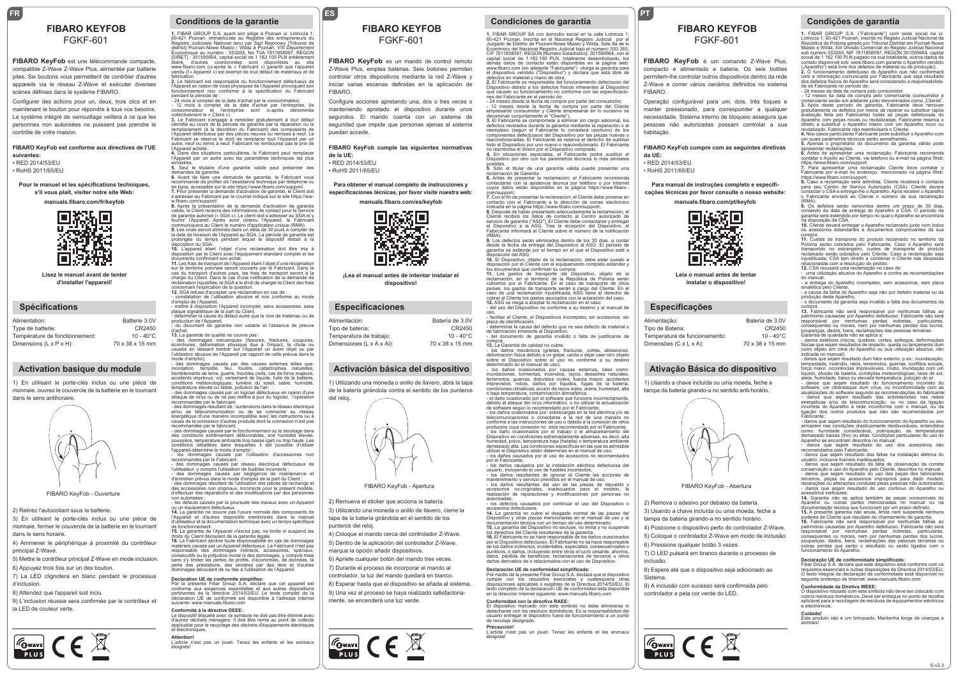# FGKF-601

#### **FIBARO KeyFob** est une télécommande compacte, compatible Z-Wave Z-Wave Plus, alimentée par batterie piles. Six boutons vous permettent de contrôler d'autres appareils via le réseau Z-Wave et exécuter diverses scènes définies dans le système FIBARO.

Configurer des actions pour un, deux, trois clics et en maintenant le bouton pour répondre à tous vos besoins. Le système intégré de verrouillage veillera à ce que les personnes non autorisées ne puissent pas prendre le contrôle de votre maison.

#### **FIBARO KeyFob est conforme aux directives de l'UE suivantes:**

• RED 2014/53/EU • RoHS 2011/65/EL

#### **Pour le manuel et les spécifications techniques, s'il vous plait, visiter notre site Web:**

**manuals.fibaro.com/fr/keyfob**



**Lisez le manuel avant de tenter d'installer l'appareil!**

#### **Spécifications**

| Alimentation:                  | Batterie 3.0V       |
|--------------------------------|---------------------|
| Type de batterie:              | CR2450              |
| Température de fonctionnement: | $10 - 40^{\circ}$ C |
| Dimensions (L x P x H):        | 70 x 38 x 15 mm     |
|                                |                     |

### **Activation basique du module**

1) En utilisant le porte-clés inclus ou une pièce de monnaie, ouvrez le couvercle de la batterie en le tournant dans le sens antihoraire



FIBARO KeyFob - Ouverture

2) Retirez l'autocollant sous la batterie.

3) En utilisant le porte-clés inclus ou une pièce de monnaie, fermer le couvercle de la batterie en le tournant dans le sens horaire.

4) Ammener le périphérique à proximité du contrôleu principal Z-Wave.

5) Mettre le contrôleur principal Z-Wave en mode inclusion. 6) Appuyez trois fois sur un des bouton.

7) La LED clignotera en blanc pendant le processus

d'inclusion. 8) Attendez que l'appareil soit inclu.

9) L'inclusion réussie sera confirmée par le contrôleur et la LED de couleur verte.



#### **FR ES Conditions de la garantie**

**FIBARO KEYFOB**<br>
FGKF-601<br>
FGKF-601<br>
FGKF-601<br>
FGKF-601<br>
FGKF-601<br>
FGKF-601<br>
FGKF-601<br>
FGKF-601<br>
FGKF-601 Économique au numéro : 553265, No TVA 7811858097, REGON<br>|SIRET] : 301595664, capital social de 1 182 100 PLN entièrement<br>|ibéré : d'autres : coordonnées : sont : disponibles : au : site : 301595664, capital social de 1 182 100 PLN entièrement<br>d'autres coordonnées sont disponibles au site libéré, d'autres coordonnées sont disponibles au site<br>www.fibaro.com (ci-après le « Fabricant ») garantit que l'appareil<br>vendu (l'« Appareil ») est exempt de tout défaut de matériaux et de<br>fabrication. **2.** Le fabricant est responsable du fonctionnement défectueux de

l'Appareil en raison de vices physiques de l'Appareil provoquant son fonctionnement non conforme à la spécification du Fabricant

pendant la période de :<br>
- 24 mois à compter de la date d'achat par le consommateur,<br>
- 12 mois à compter de la date d'achat par l'entreprise, (le<br>
consommateur et l'entreprise sont ci-après dénommés<br>
collectivement le «Cl

l'Appareil défectueux par des pièces neuves ou remises à neuf. Le Fabricant se réserve le droit de remplacer tout l'Appareil par un autre, neuf ou remis à neuf. Fabricant ne rembourse pas le prix de<br>l'Appareil acheté

l'Appareil acheté. **4.** Dans des situations particulières, le Fabricant peut remplacer l'Appareil par un autre avec les paramètres techniques les plus

similaires. **5.** Seul le titulaire d'une garantie valide peut présenter des demandes de garantie. **6.** Avant de faire une demande de garantie, le Fabricant vous

recommande de profiter de l'assistance technique par téléphone ou<br>en ligne, accessible sur le site https://www.fibaro.com/support/.<br>7. Pour présenter la demande d'activation de garantie, le Client doit<br>s'adresser au Fabric

**8.** Après la présentation de la demande d'activation de garantie valide, le Client recevra des informations de contact pour le Service de garantie autorisé (« SGA »). Le client doit s'adresser au SGA et y fournir l'Appareil. Après avoir obtenu l'Appareil, le Fabricant communiquera au Client le numéro d'application unique (RMA).<br>9. Les vices seront éliminés dans un délai de 30 jours à compter de<br>la date de livraison de l'Appareil au SGA. La période de garantie est<br>prolongée du temps pend

disposition par le Client avec l'équipement standard complet et les

documents confirmant son achat. **11.** Les frais de transport de l'Appareil étant l'objet d'une réclamation sur le territoire polonais seront couverts par le Fabricant. Dans le<br>cas du transport d'autres pays, les frais de transport seront à la<br>charge du Client. Dans le cas d'une notification de la demande de<br>réclamation injustif concernant l'explication de la question.<br>12. SGA refuse d'accepter une réclamation en cas de

constatation de l'utilisation abusive et non conforme au mode d'emploi de l'Appareil, - mettre à disposition l'Appareil incomplet, sans accessoires, sans

plaque signalétique de la part du Client,<br>- déterminer la cause du défaut autre que le vice de matériau ou de<br>production de l'Appareil,<br>- du document de garantie non valable et l'absence de preuve

d'achat. **13.** La garantie de qualité ne couvre pas :

- des dommages mécaniques (fissures, fractures, coupures, écorchures, déformation physique due à l'impact, la chute ou causée en laissant tomber sur l'Appareil un autre objet ou par l'utilisation abusive de l'Appareil par rapport de celle prévue dans le

mode d'emploi); - des dommages causés par des causes externes telles que: inondation, tempête, feu, foudre, catastrophes naturelles, tremblements de terre, guerre, troubles civils, cas de force majeure, accidents imprévus, vol, versement de liquide, fuite de la batterie,

conditions météorologiques; lumière du soleil, sable, humidité,<br>température élevée ou faible, pollution de l'air;<br>- des dommages causés par un logiciel défectueux en raison d'une<br>attaque de virus ou de ne pas mettre à jour recommandée par le fabricant; - des dommages causés par le fonctionnement ou le stockage dans

des conditions extrêmement défavorables, soit humidité élevée,<br>poussière, température ambiante trop basse (gel) ou trop haute. Les<br>conditions détaillées dans lesquelles il est possible d'utiliser<br>l'appareil détermine le mo

recommandés par le Fabricant; - des dommages causés par réseau électrique défectueux de

l'utilisateur, y compris l'utilisation de fusibles incorrects ; sur, y compris causés par négligence de maintenance et<br>en prévus dans le mode d'emploi de la part du Client :

d'entretien prévus dans le mode d'emploi de la part du Client ;<br>- des dommages résultant de l'utilisation des pièces de rechange et<br>des accessoires non originaux, incorrects pour le présent modèle,<br>d'effectuer des réparati non autorisées ;

- les défauts causés par la poursuite des travaux avec un Appareil ou un équipement défectueux. **14.** La garantie ne couvre pas l'usure normale des composants de l'Appareil et d'autres dispositifs mentionnés dans le manuel d'utilisateur et la documentation technique avec un temps spécifique

de fonctionnement.<br>**15.** La garantie de l'Appareil n'exclut pas, ne limite ni suspend les<br>droits du Client découlant de la garantie légale.<br>**16.** Le Fabricant décline toute responsabilité en cas de dommages matériels causés par un Appareil défectueux. Le Fabricant n'est pas responsable des dommages indirects, accessoires, spéciaux, consécutifs ou le préjudice moral ni des dommages, y compris mais

sans s'y limiter les pertes de profits, d'économies, de données, la<br>perte des prestations, des sinistres par des tiers et d'autres<br>dommages découlant de ou liés à l'utilisation de l'Appareil.

Declaration UE de conformite simplifiee:<br>Par la présente Fibar Group S.A. déclare que cet appareil est<br>conforme aux exigences essentielles et aux autres dispositions<br>pertinentes de la directive 2014/53/EU. Le texte complet suivante: www.manuals.fibaro.com

#### **Conformité à la directive DEEE:**

Le dispositif étiqueté avec ce symbole ne doit pas être éliminé avec d'autres déchets ménagers. Il doit être remis au point de collecte applicable pour le recyclage des déchets d'équipements électriques et électroniques.

**Attention!**<br>L'article n'est pas un jouet. Tenez les enfants et les animaux<br>éloignés!

## **FIBARO KEYFOB**

## FGKF-601

**FIBARO KeyFob** es un mando de control remoto Z-Wave Plus, emplea baterias. Seis botones permiten controlar otros dispositivos mediante la red Z-Wave y iniciar varias escenas definidas en la aplicación de FIBARO.

Configure acciones apretando una, dos o tres veces o manteniendo apretado el dispositivo durante unos segundos. El mando cuenta con un sistema de seguridad que impide que personas ajenas al sistema puedan accede.

#### **FIBARO KeyFob cumple las siguientes normativas de la UE:**

• RED 2014/53/EU • RoHS 2011/65/EU

**Para obtener el manual completo de instrucciones y especificaciones técnicas, por favor visite nuestra web:** 

**manuals.fibaro.com/es/keyfob**



**¡Lea el manual antes de intentar instalar el dispositivo!**

### **Especificaciones**

| Alimentación:             | Batería de 3.0V     |
|---------------------------|---------------------|
| Tipo de batería:          | CR2450              |
| Temperatura de trabajo:   | $10 - 40^{\circ}$ C |
| Dimensiones (L x A x AI): | 70 x 38 x 15 mm     |
|                           |                     |

#### **Activación básica del dispositivo**

1) Utilizando una moneda o anillo de llavero, abra la tapa de la batería girándola contra el sentido de los punteros



2) Remueva el sticker que acciona la batería. 3) Utilizando una moneda o anillo de llavero, cierre la tapa de la batería girándola en el sentido de los punteros del reloj.

4) Coloque el mando cerca del controlador Z-Wave. 5) Dentro de la aplicación del controlador Z-Wave, marque la opción añadir dispositivos.

6) Apriete cualquier botón del mando tres veces.

7) Durante el proceso de incorporar el mando al controlador, la luz del mando quedará en blanco.

8) Esperar hasta que el dispositivo se añada al sistema.

9) Una vez el proceso se haya realizado satisfactoriamente, se encenderá una luz verde.



**1.** FIBAR GROUP SA con domicilio social en la calle Lotnicza 1, 60-421 Poznan, inscrita en el Nacional Registro Judicial por el Juzgado de Distrito de Poznań-Nowe Miasto y Wilda, Sala 8a de lo Económico del Nacional Registro Judicial bajo el número: 553 265, CIF 7811858097, REGON [Número Estadístico]: 301595664, con el<br>capital social de 1.182.100 PLN, totalmente desembolsado, los<br>demás datos de contacto están disponibles en la página web:<br>www.fibaro.com (en adelante "Fabricant **PT**

FIBARO.

habitação.

**da UE:** • RED 2014/53/EU • RoHS 2011/65/EU

FGKF-601

**FIBARO KeyFob** é um comando Z-Wave Plus, compacto e alimentado a bateria. Os seis botões permitem-lhe controlar outros dispositivos dentro da rede Z-Wave e correr vários cenários definidos no sistema

Operação configurável para um, dois, três toques e manter pressionado, para corresponder a qualquer necessidade. Sistema interno de bloqueio assegura que pessoas não autorizadas possam controlar a sua

**Para manual de instruções completo e especificações técnicas por favor consulte o nosso website: manuals.fibaro.com/pt/keyfob**

**FIBARO KeyFob cumpre com as seguintes diretivas** 

**Leia o manual antes de tentar instalar o dispositivo!**

> Bateria de 3.0V CR2450  $10 - 40^{\circ}$ C 70 x 38 x 15 mm

> > S-v2.3

**Especificações**

Temperatura de funcionamento: Dimensões (C x L x A):

Alimentação: Tipo de Bateria:

**Ativação Básica do dispositivo**

1) Usando a chave incluída ou uma moeda, feche a tampa da bateria girando-a no sentido anti-horário.

2) Remova o adesivo por debaixo da bateria. 3) Usando a chave incluída ou uma moeda, feche a tampa da bateria girando-a no sentido horário. 4) Posicione o dispositivo perto do controlador Z-Wave. 5) Coloque o controlador Z-Wave em modo de inclusão.

FIBARO KeyFob - Abertura

7) O LED pulsará em branco durante o processo de

8) Espere até que o dispositivo seja adicionado ao

9) A inclusão com sucesso será confirmada pelo controlador e pela cor verde do LED.

6) Pressione qualquer botão 3 vezes.

 $\frac{1}{\sqrt{2}}$   $\frac{1}{\sqrt{2}}$   $\frac{1}{\sqrt{2}}$ 

inclusão.

Sistema.

**FIBARO KEYFOB**<br> **FGKF-601**<br> **FGKF-601**<br> **FGKF-601**<br> **FGKF-601**<br> **FGKF-601**<br> **ECGEREY AND REGISTER AND REGISTER AND REGISTER AND REGISTED AND REGISTED ASSAUTED AND REGISTED AND REGISTED AND REGISTED AND REGISTED AND REGIST** 

sob número 553265, NIF 7811858097, REGON 301595664, capital social de 1 182 100 PLN pagado na sua totalidade, outros dados de<br>contato disponível sob: www.fibaro.com garante o Aparelho vendido<br>("Aparelho") está livre dos defeitos de material ou de produção). **2.** O funcionamento defeituoso do Aparelho que não conformará<br>com a informação comunicada por Fabricante que seja resultado<br>dos defeitos físicos do Aparelho será considerado a responsabilida-

- 12 meses da data de compra pelo comerciante (consumidor e consumidore comerciante serão em adelante junto denominados como "Cliente".<br>3. Após deste período de garantia, Fabricante deve remover gratultamente os defeitos p

revitalizado. Fabricante não reembolsará o Cliente. **4.** Nos casos particulares Fabricante pode substituir o Aparelho com

**5.** Apenas o proprietário do documento da garantia válido pode apresentar reclamações.<br>6. Antes de apresentar uma reclamação, Fabricante recomenda<br>contatar o Auxílio ao Cliente, via telefono ou e-mail na página Web:<br>https://www.fibaro.com/support.<br>7. Para apresentar uma reclamação Cli Fabricante por e-mail no endereço mencionado na página Web: https://www.fibaro.com/support. 8. Caso a reclamação será admitida, Cliente receberá o contacto<br>para seu Centro de Serviço Autorizado (CSA). Cliente deverá<br>contactar o CSA e entrega-lhe o Aparelho. Após receber o Aparelho<br>o Fabricante enviará ao Cliente (RMA). **9.** Os defeitos serão removidos dentro um prazo de 30 dias, contando da data de entrega do Aparelho a CSA. O período da garantia será estendido por tempo no qual o Aparelho se encontrará na disposição de CSA. **10.** Cliente deverá entregar o Aparelho reclamado junto com todos os acessórios estandartes e documentos comprovantes da sua compra. **11.** Custes de transporte do produto reclamado no territorio da Polónia serão cobrados pelo Fabricante. Caso o Aparelho será transportdo no estrangeiro, custes de transporte do produto reclamado serão cobrados pelo Cliente. Caso a reclamação seja injustificada, CSA tem direito a condenar o Cliente nas despesa

de de Fabricante no período de: - 24 meses da data de compra pelo consumidor,

um quais parámetros técnicos serão semelhantes.

relacionadas com a resolução do pedido.

produção deste Aparelho,

Fabricante;

**12.** CSA recusará uma reclamação no caso de:<br>- uma utilização abusiva do Aparelho e contra as recomendações<br>do manual, a entrega do Aparelho incompleto, sem acessórios, sem placa sinalética pelo Cliente, - a causa da falha do Aparelho seja não por defeito material ou da

- o documento da garantia seja inválido e falta dos documentos da<br>- o documento da garantia seja inválido e falta dos documentos da <u>sompra.</u><br>13. Eabricante não será responsável por nenhumas falhas ao. 13. Fabricante não será responsável por nenhumas falhas ao<br>património causadas por Aparelho defeituoso. Fabricante não será<br>responsável por nenhumas perdas indiretas, particulares,<br>consequentes ou morais, nem por nenhumas

físicas que sejam resultados de impacto, queda ou lançamento dum outro objeto em cima do Aparelho ou sua utilização abusiva, não indicada no manual); - danos que sejam resultado dum fator externo, p.ex.: inundacação, tempestade, incêndio, raios, terremotos, guerras, conflitos sociais, força maior, occorências imprevisíveis, roubo, inundação com um líquido, efusão de bateria, condições meteorológicas; raios de sol, areia, humidade, baixa ou elevada temperatura, polução do ar;

- danos que sejam resultado do funcionamento incorreto do<br>software, um ciberataque dum vírus, ou inconformidade com as<br>atualizações do software segundo as recomendações do fabricante;<br>- danos que sejam resultado das sobret

-apnoante,<br>· danos que sejam resultado do funcionamento do Aparelho ou seu armazém nas condições drasticamente desfavoráveis, entendidos como: humidade considerável, polinização, as temperaturas demasiado baixas (frio) ou altas. Condições particulares do uso do Aparelho se encontram descritos no manual; - danos que sejam resultado do uso dos acessórios não recomendados pelo Fabricante; recomendados pelo Fabricante;<br>- danos que sejam resultado das faltas na instalação elétrica do usuário, inclusive fusíveis inadequados; - danos que sejam resultado da falta de observação da correta

conservação e uso do Aparelho pelo Cliente, descritos no manual;<br>- danos que sejam resultado do uso das peças dos fabricantes<br>terceiros, peças ou acessórios impróprios para dado modelo,<br>reparações ou alterações condutas pe

Aparelho ou outras partes mencionadas no manual ou na documentação técnica que funcionam por um prazo definido.

15. A presente garantia não anula, limita nem suspende nenhuns<br>poderes de Cliente que resultam do chamamento de garantia.<br>16. Fabricante não será responsável por nenhumas falhas ao<br>património causadas por Aparelho defeituo poupanças, dados, bens, reclamações das pessoas terceiras ou outras perdas que serão o resultado ou serão ligados com o funcionamento do Aparelho.

**Declaração UE de conformidade simplificada:**<br>Fibar Group S.A. declara que este dispostivo está conforme com os<br>requisitos essenciais e outras disposições da Directiva 2014/53/EU.<br>O texto integral da declaração de conformi seguinte endereço de Internet: www.manuals.fibaro.com

O dispositivo rotulado com este símbolo não deve ser colocado com outros resíduos domésticos. Deve ser entregue no ponto de recolha aplicável para a reciclagem de resíduos de equipamentos eléctricos

**Cuidado!** Este produto não é um brinquedo. Mantenha longe de crianças e

**Conformidade da Diretiva WEEE:**

e electrónic

animais!

defectos en material y mano de obra. **2.** El Fabricante es responsable del funcionamiento defectuoso del Dispositivo debido a los defectos físicos inherentes al Dispositivo que causen su funcionamiento no conforme con las especificacio-<br>nes del Fabricante en el periodo de:

nes del Fabricante en el periodo de: - 24 meses desde la fecha de compra por parte del consumidor, - 12 meses desde la fecha de compra por parte del Cliente empresarial (consumidor y Cliente empresarial en lo sucesivo se denominan conjuntamente el "Cliente").<br>**3.** El Fabricante se compromete a eliminar sin cargo adicional, los<br>defectos revelados durante la garantía mediante la reparación o el

reemplazo (según el Fabricante lo considera oportuno) de los<br>componentes defectuosos del Dispositivo por las piezas nuevas o<br>reacondicionadas. El Fabricante se reserva el derecho de sustituir<br>todo el Dispositivo por uno nu

no reembolsa el dinero por el Dispositivo comprado.<br>**4. E**n situaciones especiales, el Fabricante podrá sustituir el<br>Dispositivo por otro con los parámetros técnicos lo más similares

posibles. **5.** Sólo el titular de una garantía válida puede presentar una

reclamación de Garantía.<br>6. Antes de presentar la reclamación, el Fabricante recomienda<br>contactarse con la asistencia técnica por teléfono o por Internet<br>cuyos datos están disponibles en la página https://www.fibaro.-

com/support/. **7.** Con el fin de presentar la reclamación, el Cliente debe ponerse en contacto con el Fabricante a la dirección de correo electrónico

indicada en la página https://www.fibaro.com/support/.<br>**8.** Después de haber presentado adecuadamente la reclamación, el<br>Cliente recibirá los datos de contacto al Centro autorizado de

servicio de garantía ("ASG"). El Cliente debe contactarse y entregar<br>el Dispositivo a la ASG. Tras la recepción del Dispositivo, el<br>Fabricante informará al Cliente sobre el número de la notificación (RMA). **9.** Los defectos serán eliminados dentro de los 30 días, a contar

desde la fecha de entrega del Dispositivo al ASG. El periodo de garantía se extiende por el tiempo en el que el Dispositivo esté a

disposición del ASG.<br>10. El Dispositivo, objeto de la reclamación, debe estar puesto a<br>disposición por el Cliente con el equipamiento completo estándar y<br>los documentos que confirman su compra.<br>11. Los gastos de transporte

reclamación, en el territorio de la República de Polonia serán cubiertos por el Fabricante. En el caso de transporte de otros países, los gastos de transporte serán a cargo del Cliente. En el<br>caso de una reclamación injustificada, ASG tiene el derecho de<br>cobrar al Cliente los gastos asociados con la aclaración del caso.<br>12. ASG se niega a aceptar

uso, - facilitar el Cliente, el Dispositivos incompleto, sin accesorios, sin

placa de identificación, - determinar la causa del defecto que no sea defecto de material o

de fabricación inherente al Dispositivo, - del documento de garantía inválido o falta de justificante de compra. **13.** La Garantía de calidad no cubre:

- los daños mecánicos (grietas, fracturas, cortes, abrasiones, deformación física debido a un golpe, caída o dejar caer otro objeto sobre el Dispositivo sobre el uso no conforme a su destino determinado en el manual de uso); - los daños ocasionados por causas externas, tales como: inundaciones, tormentas, incendios, rayos, desastres naturales,<br>terremotos, guerras, disturbios civiles, fuerza mayor, accidentes<br>imprevistos, robos, daños por líquidos, fugas de la batería,<br>condiciones climáticas;acción.d

o baja temperatura, contaminación atmosférica; - el daño ocasionado por el software que funcione incorrectamente,

debido al ataque del virus informático, o no utilizar la actualización<br>de software según lo recomendado por el Fabricante;<br>- los daños ocasionados por: sobrecargas en la red eléctrica y/o de<br>telecomunicaciones o conectrars Dispositivo en condiciones extremadamente adversas, es decir, alta humedad, polvo, temperatura baja (helada) o temperatura ambiente demasiado alta. Las condiciones específicas en las que es admisible utilizar el Dispositivo están determinas en el manual de uso; - los daños causados por el uso de accesorios no recomendados

por el Fabricante: - los daños causados por la instalación eléctrica defectuosa del usuario, incluyendo el uso de fusibles incorrectos; - los daños resultantes de ignorar el Cliente las acciones de

mantenimiento y servicio previstos en el manual de uso; - los daños resultantes del uso de las piezas de repuesto y

accesorios no-originales, inadecuados para el modelo, la realización de reparaciones y modificaciones por personas no autorizadas; - los defectos causados por continuar el uso del Dispositivo o

accesorios defectuosos.<br>**14.** La garantía no cubre el desgaste normal de las piezas del<br>Dispositivo y otras piezas mencionadas en el manual de uso y la documentación técnica con un tiempo de uso determinado. **15.** La garantía del Dispositivo no excluye, no limita y no suspende

los derechos del Cliente resultantes de la garantía.<br>10s derechos del Cliente resultantes de la garantía.<br>10s El Fabricante no se hace responsable de los daños ocasionados<br>por el Dispositivo defectuoso, licidentales, espec

Por medio de la presente Fibar Group S.A. declara que el dispositivo<br>cumple con los requisitos esenciales y cualesquiera otras<br>disposiciones aplicables o exigibles de la Directiva 2014/53/EU. El texto completo de la declaración UE de conformidad está disponible en la dirección Internet siguiente: www.manuals.fibaro.com

El dispositivo marcado con este símbolo no debe eliminarse ni<br>desecharse con los residuos domésticos. Es la responsabilidad del<br>usuario entregar el dispositivo fuera de funcionamiento a un punto

L'article n'est pas un jouet. Tenez les enfants et les animaux

**Declaración UE de conformidad simplificada:**

**Conformidad con la directiva RAEE:**

de reciclaje designado. **Precaución!**

éloignés!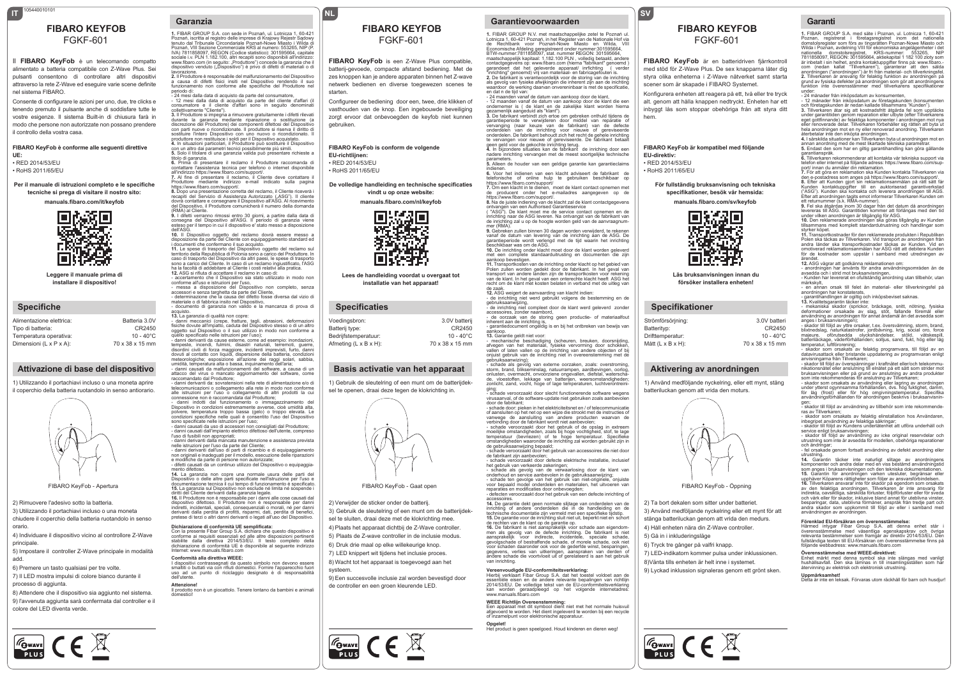### **IT NL** 105440010101 **FIBARO KEYFOB** FGKF-601

Il **FIBARO KeyFob** è un telecomando compatto alimentato a batteria compatibile con Z-Wave Plus. Sei pulsanti consentono di controllare altri dispositivi attraverso la rete Z-Wave ed eseguire varie scene definite nel sistema FIBARO.

Consente di configurare le azioni per uno, due, tre clicks e tenendo premuto il pulsante anche di soddisfare tutte le vostre esigenze. Il sistema Built-in di chiusura farà in modo che persone non autorizzate non possano prendere il controllo della vostra casa.

#### **FIBARO KeyFob è conforme alle seguenti direttive UE:**

• RED 2014/53/EU • RoHS 2011/65/EU

#### **Per il manuale di istruzioni completo e le specifiche tecniche si prega di visitare il nostro sito:**

**manuals.fibaro.com/it/keyfob**



**Leggere il manuale prima di installare il dispositivo!**

#### **Specifiche**

| Alimentazione elettrica: | Batteria 3.0V       |
|--------------------------|---------------------|
| Tipo di batteria:        | CR2450              |
| Temperatura operativa:   | $10 - 40^{\circ}$ C |
| Dimensioni (L x P x A):  | 70 x 38 x 15 mm     |
|                          |                     |

### **Attivazione di base del dispositivo**

1) Utilizzando il portachiavi incluso o una moneta aprire il coperchio della batteria ruotandolo in senso antiorario.



2) Rimuovere l'adesivo sotto la batteria.

**FOWAVE** CE

3) Utilizzando il portachiavi incluso o una moneta chiudere il coperchio della batteria ruotandolo in senso orario.

4) Individuare il dispositivo vicino al controllore Z-Wave principale.

5) Impostare il controller Z-Wave principale in modalità add.

6) Premere un tasto qualsiasi per tre volte. 7) Il LED mostra impulsi di colore bianco durante il processo di aggiunta.

8) Attendere che il dispositivo sia aggiunto nel sistema. 9) l'avvenuta aggiunta sarà confermata dal controller e il colore del LED diventa verde.



attacco del virus o mancato aggiornamento del software, come raccomandato dal Produttore; - danni derivanti da: sovratensioni nella rete di alimentazione e/o di telecomunicazioni o collegamento alla rete in modo non conforme alle istruzioni per l'uso o collegamento di altri prodotti la cui

**Garanzia**

periodo di:

del Dispositivo, il l<br>(RMA) al Cliente.

1. FIBAR GROUP S.A. con sede in Poznań, ul. Lotnicza 1, 60-421<br>Poznań, iscritta al registro delle imprese di Krajowy Rejestr Sądowy<br>tenuto dal Tribunale Circondariale Poznań-Nowe Miasto i Wilda di<br>Poznań, VIII Sezione Comm IVA) 7811858097, REGON (Codice statistico): 301595664, capitale sociale i.v. PLN 1.182.100, altri recapiti sono disponibili all'indirizzo:<br>www.fibaro.com (in seguito: "Produttore") concede la garanzia che il<br>dispositivo venduto ("Dispositivo") è privo di difetti di materiali o di lavorazione. **2.** Il Produttore è responsabile del malfunzionamento del Dispositivo a causa di difetti fisici insiti nel Dispositivo rendendo il suo funzionamento non conforme alle specifiche del Produttore nel

- 24 mesi dalla data di acquisto da parte del consumatore, - 12 mesi dalla data di acquisto da parte del cliente d'affari (il consumatore e il cliente d'affari sono in seguito denominati collettivamente "Cliente").<br>3. Il Produttore si impegna a rimuovere gratuitamente i difetti rilevati<br>durante la garanzia mediante riparazione o sostituzione (a<br>discrezione del Produttore) dei componenti difetto con parti nuove o ricondizionate. Il produttore si riserva il diritto di sostituire l'intero Dispositivo con uno nuovo o ricondizionato. Il produttore non restituisce i soldi per il Dispositivo acquistato. **4.** In situazioni particolari, il Produttore può sostituire il Dispositivo<br>con un altro dai parametri tecnici possibilmente più simili. **5.** Solo il titolare di una garanzia valida può presentare richieste a titolo di garanzia. **6.** Prima di presentare il reclamo il Produttore raccomanda di contattare l'assistenza tecnica per telefono o internet disponibile<br>all'indirizzo https://www.fibaro.com/support/.<br>7. Al fine di presentare il reclamo, il Cliente deve contattare il Produttore mediante indirizzo e-mail indicato sulla pagina ntips://www.fibaro.com/support/.<br>https://www.fibaro.com/support/.<br>8. Dopo una presentazione corretta del reclamo. il Cliente riceverà i **8.** Dopo una presentazione corretta del reclamo, il Cliente riceverà i<br>recaptit del Servizio di Assistenza Autorizzato ("ASG"). Il cliente<br>dovrà contattare e consegnare il Dispositivo all'ASG. Al ricevimento<br>del Dispositi

**9.** I difetti verranno rimossi entro 30 giorni, a partire dalla data di<br>consegna del Dispositivo all'ASG. Il periodo di garanzia viene esteso per il tempo in cui il dispositivo e' stato messo a disposizione dell'ASC.<br>10. Il Dispositivo oggetto del reclamo dovrà essere messo a<br>disposizione da parte del Cliente con equipaggiamento standard ed<br>i documenti che confermano il suo acquisto.<br>11. Le spese di trasporto del Dispositivo

caso di trasporto del Dispositivo da altri paesi, le spese di trasporto sono a carico del Cliente. In caso di un reclamo ingiustificato, l'ASG

ha la facoltà di addebitare al Cliente i costi relativi alla pratica.<br>12. ASG si rifiuta di accettare il reclamo in caso di:<br>- accertamento che il Dispositivo sia stato utilizzato in modo non<br>conforme all'uso e istruzioni

materiale o di fabbrica insito nel Dispositivo, - documento di garanzia non valido e la mancanza di prova di

acquisto.<br>13. La garanzia di qualità non copre:<br>- danni meccanici (crepe, fratture, tagli, abrasioni, deformazioni<br>fisiche dovute all'impatto, caduta del Dispositivo stesso o di un altro<br>oggetto sul Dispositivo o il suo ut

- danni derivanti da cause esterne, come ad esempio: innordazioni,<br>tempeste, incendi, fulmini, disastri naturali, terremoti, querre,<br>disordini civili di forza maggiore, incidenti imprevisti, furto, danni<br>dovuti al contatto

connessione non è raccomandata dal Produttore;<br>- danni indotti dal funzionamento o immagazzinamento del<br>Dispositivo in condizioni estremamente avverse, cioè umidità alta,<br>polvere, temperatura troppo bassa (gelo) o tr condizioni specifiche nelle quali è consentito l'uso del Dispositivo sono specificate nelle istruzioni per l'uso; - danni causati da uso di accessori non consigliati dal Produttore;

- danni causati dall'impianto elettrico difettoso dell'utente, compreso

l'uso di fusibili non appropriati;<br>- danni derivanti dalla mancata manutenzione e assistenza prevista<br>- danni derivanti dall'arso da parte del Cliente;<br>- danni derivanti dall'uso di parti di ricambio e di equipaggiamento<br>n

e modifiche da parte di persone non autorizzate; - difetti causati da un continuo utilizzo del Dispositivo o equipaggia-

FIBARO KeyFob - Apertura FIBARO KeyFob - Gaat open mento difettoso.<br>14. La garanzia non copre una normale usura delle parti del<br>Dispositivo o delle altre parti specificate nell'istruzione per l'uso e<br>documentazione tecnica il cui tempo di funzionarmento è specificato.<br>15. dispositivo difettoso. Il Produttore non è responsabile per danni indiretti, incidentali, speciali, consequenziali o morali, né per danni derivanti dalla perdita di profitti, risparmi, dati, perdita di benefici, pretese di terzi o altri danni derivanti o legati all'uso del Dispositiv

**Dichiarazione di conformità UE semplificata:**<br>Con la presente Fibar Group S.A. dichiara che questo dispositivo è<br>conforme ai requisiti essenziali ed alle altre disposizioni pertinenti<br>stabilite dalla direttiva 2014/53/ dichiarazione di conformità UE è disponibile al seguente indirizzo Internet: www.manuals.fibaro.com

**Conformità alla direttiva WEEE:**<br>I dispositivi contrassegnati da questo simbolo non devono essere<br>smaltiti o buttati via con rifiuti domestici. Fornire l'apparecchio fuori<br>uso ad un punto di riciclaggio designato è dell'utente. **Attenzione!** Il prodotto non è un giocattolo. Tenere lontano da bambini e animali

domestici!

## **FIBARO KEYFOB**

## FGKF-601

**FIBARO KeyFob** is een Z-Wave Plus compatible, batterij-gevoede, compacte afstand bediening. Met de zes knoppen kan je andere apparaten binnen het Z-wave netwerk bedienen en diverse toegewezen scenes te starten.

Configureer de bediening door een, twee, drie klikken of vasthouden van de knop. Een ingebouwde beveiliging zorgt ervoor dat onbevoegden de keyfob niet kunnen gebruiken.

#### **FIBARO KeyFob is conform de volgende EU-richtlijnen:**

• RED 2014/53/EU • RoHS 2011/65/EU

#### **De volledige handleiding en technische specificaties vindt u op onze website:**

**manuals.fibaro.com/nl/keyfob**



**Lees de handleiding voordat u overgaat tot installatie van het apparaat!**

#### **Specificaties**

| Voedingsbron:                      | 3.0V batterij       |
|------------------------------------|---------------------|
| Batterij type:                     | CR2450              |
| Bedrijfstemperatuur:               | $10 - 40^{\circ}$ C |
| Afmeting $(L \times B \times H)$ : | 70 x 38 x 15 mm     |
|                                    |                     |

#### **Basis activatie van het apparaat**

1) Gebruik de sleutelring of een munt om de batterijdeksel te openen, draai deze tegen de klokrichting in.



### 2) Verwijder de sticker onder de batterij.

3)  Gebruik de sleutelring of een munt om de batterijdeksel te sluiten, draai deze met de klokrichting mee

4) Plaats het apparaat dichtbij de Z-Wave controller.

5)  Plaats de Z-wave controller in de inclusie modus.

6)  Druk drie maal op elke willekeurige knop.

7)  LED knippert wit tijdens het inclusie proces. 8) Wacht tot het apparaat is toegevoegd aan het systeem.

 $\boxed{\frac{\mathscr{E}_{\text{Qwave}}}{\text{plus}}$   $\mathsf{C} \in \mathbb{X}$ 

9) Een succesvolle inclusie zal worden bevestigd door de controller en een groen kleurende LED.

## **Garantievoorwaarden**

**1.** FIBAR GROUP N.V. met maatschappelijke zetel te Poznań ul. Lotnicza 1, 60-421 Poznań, in het Register van de Nationale Hof via de Rechtbank voor Poznań-Nowe Miasto en Wilda, VIII Economische Afdeling geregistreerd onder nummer:301595664, BTW-nummer.7811858097, stat. nummer REGON: 301595664,<br>maatschappelijk kapitaal: 1.182.100 PLN , volledig betaald, andere<br>contactgegevens op: www.fibaro.com (hierna "fabrikant" genoemd )<br>garandeert dat het geleverde appara **2.** De fabrikant is verantwoordelijk voor de storing van de inrichting als gevolg van fysieke afwijkingen die inherent zijn aan de inichting waardoor de werking daarvan onvereninbaar is met de specificatie, aarvoor de tijd van:<br>1 dat n de tijd van:<br>24 maanden vanaf de datum van aankoop door de klant.

- 24 maanden vanaf de datum van aankoop door de klant, - 12 maanden vanaf de datum van aankoop door de klant die een ondernemer is ( de klant en de zakelijke klant worden hierna gezamenlijk aangeduid als "klant"). **3.** De fabrikant verbindt zich ertoe om gebreken onthuld tijdens de garantieperiode te verwijderen door middel van reparatie of

vervanging (naar keuze van de fabrikant) van de defecte<br>onderdelen. De fabrikant behoudtzich het recht de gehele inrichen<br>te de vervangen voor nieuwe of gereviseerde.<br>te vervangen voor nieuwe of gereviseerde. De fabrikant

nadere inrichting vervangen met de meest soortgelijk parameters. **5.** Alleen de houder van een geldige garantie kan garantieclaims

indienen.<br>6. Voor het indienen van een klacht adviseert de fabrikant de

6. Voor het indienen van een klacht adviseert de fabrikant de<br>telefonische of online hulp te gebruiken beschikbaar op<br>https://www.fibaro.com/support/<br>7. Om een klacht in telenen, moet de klant contact opnemen met<br>de produc

de producent onder het e<br>https://www.fibaro.com/support/. **8.** Na de juiste indiening van de klacht zal de klant contactgegevens

ontvangen van een Authorised Garantieservice<br>ˈ"ASG"). De klant moet me de service contact opnemen en de

( "ASG"). De klant moet me de service contact opnemen en de inrichting naar de ASG leveren. Na ontvangst van de fabrikant van de inrichting zal u op de hoogte worden geld van de aanvraagnum-mer (RMA). **9.** Gebreken zullen binnen 30 dagen worden verwijderd, te rekenen vanaf de datum van levering van de inrichting aan de ASG. De garantieperiode wordt verlengd met de tijd waarin het inrichting

beschikbaar was om de ASG. **10.** De inrichting onder klacht moet door de klant worden geleverd met een complete standaarduitrusting en documenten die zijn

aankoop bevestigen.<br>11. Transportkosten van de inrichting onder klacht op het gebied van<br>Polen zullen worden gedekt door de fabrikant. In het geval van<br>transport van andere landen zijn de transportkosten voo

van de klant. In het geval van een onterechte klacht heeft ASG het recht om de klant met kosten belaten in verband met de uitleg van

de zaak.<br>12. ASG weigert de aanvaarding van klacht indien:<br>- de inrichting niet werd gebruikt volgens de bestemming en de<br>gebruiksaarwijzing,<br>accessoires, zonder naambord,<br>- de inrichting niet compleet door de klant werd g

inherent aan de inrichting is, - garantiedocument ongeldig is en bij het ontbreken van bewijs van

aankoop.<br>13. Garantie geldt niet voor:<br>- mechanische beschadiging (scheuren, breuken, doorsnijding,<br>afvegen van het materiaal, fysieke vervorming door schokken,<br>vallen of laten vallen op de inrichting van andere objecten o gebruiksaanwizing);

- schade als gevolg van externe oorzaken, zoals: overstroming, storm, brand, blikseminslag, natuurrampen, aardbevingen, oorlog, onlusten, overmacht, onvoorziene ongevallen, diefstal, waterscha-de, vloestoffen, lekkage van batterijen, weersomstandigheden; zonlicht, zand, vocht, hoge of lage temperaturen, luchtverontreini-

ging; - schade veroorzaakt door slecht functionerende software wegens virusaanval, of de software-update niet gebruiken zoals aa door de fabrikant;

door de labrikant;<br>- schade door: pieken in het elektriciteitsnet en / of telecommunicatie<br>of aansluiten op het net op een wijze die strookt met de instructies ol of aansluiten op het net op een wijze die strookt met de instructies of<br>vanwege de aansluiting van andere producten waarvan de<br>verbinding door de fabrikant wordt niet aanbevolen;<br>stronding door de fabrikant wordt niet aanb

de gebruiksaanwijzing bepaald; - schade veroorzaakt door het gebruik van accessoires die niet door de fabrikant zijn aanbevolen;<br>
- schade veroorzaakt door defecte elektrische installatie inclusier

- schade veroorzaakt door defecte elektrische installatie, inclusief<br>- schade als gevolg van defecte en defectivaties als gevolg van de als gevolg van defectivaties on defectival<br>- schade als gevolge van de vervaardosing d

reparaties en modificaties door onbevoegden; - processes component veroorzaakt door het gebruik van een defecte inrichting of

accessoires.<br>14. De garantie dekt geen normale slijtage van onderdelen van de<br>inrichting of andere onderdelen die in de handleiding en de<br>technische documentatie zijn vermeld met een specifieke tijdstip.<br>15. De garantie vo

de rechten van de klant op de garantie op.<br>16. De fabrikant is niet aansprakelijk voor schade aan eigendom **16.** De fabrikant is niet aansprakelijk voor schade aan eigendom-<br>men als gevolg van de defecte inrichting. De fabrikant is niet<br>aansprakelijk voor indirecte, incidentele, speciale schade,<br>gevolgschade of bestraffende sch voor schaden daaronder ook voor de gederfde winst, besparingen, gegevens, verlies van uitkeringen, aanspraken van derden of andere schade die voortvloeit uit of gerelateerd is aan het gebruik van inrichting.

#### **Vereenvoudigde EU-conformiteitsverklaring:**

Hierbij verklaart Fibar Group S.A. dat het toestel voldoet aan de essentiële eisen en de andere relevante bepalingen van richtlijn 2014/53/EU. De volledige tekst van de EU-conformiteitsverklaring kan worden geraadpleegd op het volgende internetadres: www.manuals.fibaro.com

#### **WEEE Richtlijn Overeenstemming:**

Een apparaat met dit symbool dient niet met het normale huisvuil afgevoerd te worden. Het dient ingeleverd te worden bij een recycle of inzamelpunt voor elektronische apparatuur.

**Opgelet!**<br>Het product is geen speelgoed. Houd kinderen en dieren weg!

## **FIBARO KEYFOB**

**SV**

FGKF-601

**Garanti**

1. FIBAR GROUP S.A. med säte i Poznan, ul. Lothicza 1, 60-421<br>Poznan, registrerat i företagsregistret inom det nationella<br>domstolsregister som förs av tingsrätten Poznan-Nowe Miasto och<br>Wilda i Poznan, avdelning VIII för e

7811858097, REGON: 301595664, aktiekapital 1182 100 zloty som<br>ar inbetalt i sin helhet, andra kontaktuppgifter finns på: www.fibaro-<br>com (nedan kallat "Tillverkaren"), garanterar att den sålda<br>anordningen ("anordningen") ä

- 24 månader från inköpsdatum av konsumenten,<br>- 12 månader från inköpsdatum av företagskunden (konsumenten<br>och företagskunden är nedan kallade tillsammans "Kunden").<br>3. Tillverkaren åtar sig att kostnadsfritt åtgärda fel s

hela anordningen mot en ny eller renoverad anordning. Tillverkaren återbetalar inte den inköpta anordningen. **4.** I särskilda situationer kan Tillverkaren byta ut anordningen mot en annan anordning med de mest likartade tekniska parametrar. **5.** Endast den som har en giltig garantihandling kan göra gällande garantianspråk.<br>**6.** Tillverkaren rekommenderar att kontakta vår tekniska support via<br>telefon eller internet på följande adress: https://www.fibaro.com/sup-<br>port/ innan du anmäler din reklamation. **7.** För att göra en reklamation ska Kunden kontakta Tillverkaren via den e-postadress som anges på https://www.fibaro.com/support/. **8.** Efter att Kunden gjort sin reklamationsanmälan på rätt sätt får

Kunden kontaktuppgifter till en auktoriserad garantiverkstad,<br>("ASG"). Kunden ska kontakta och leverera anordningen till AGS.<br>Efter att anordningen tagits emot informerar Tillverkaren Kunden om<br>ett returnummer (s.k. RMA-nu

tillsammans med komplett standardutrustning och handlingar som styrker köpet. **11.** Transportkostnader för den reklamerade produkten i Republiken Polen ska täckas av Tillverkaren. Vid transport av anordningen från<br>andra länder ska transportkostnader täckas av Kunden. Vid en<br>omotiverad reklamationsanmälan har ASG rätt att debitera Kunden<br>för de kostnader som uppstår

- anordningen har använts för andra användningsområden än de avsedda och i strid mot bruksanvisningen, - Kunden har levererat en ofullständig anordning utan tillbehör, utan

ugunanyn.<br>
en annan orsak till felet än material- eller tillverkningsfel på

anordningen har konstaterats,<br>og anarchingen ar ogiltig och inköpsbeviset saknas.<br>13. Kvalitetsgarantin täcker inte:<br>- mekaniska skador (sprickor, bräckage, snitt, nötning, fysiska<br>deformationer orsakade av slag, stöt, fal

blixtnedslag, naturkatastrofer, jordbävning, krig, social oro, force majeure, oförutsedda olyckshändelser, stöld, vätskespill, batteriläckage, väderförhållanden; solljus, sand, fukt, hög eller låg temperatur, luftförorening; - skador som orsakats av felaktig programvara, till följd av en datavirusattack eller bristande uppdatering av programvaran enligt<br>anvisningarna från Tillverkaren;<br>- skador till följd av överspänningar i kraftnätet eller/och telekommu-<br>nikationsnätet eller anslutning till elnätet på et bruksanvisningen eller på grund av anslutning av andra produkter som inte rekommenderas för anslutning av Tillverkaren; - skador som orsakats av användning eller lagring av anordningen under ytterst ogynnsamma förhållanden, dvs. hög fuktighet, damm,<br>för låg (frost) eller för hög omgivningstemperatur. Specifika<br>användningsförhållanden för anordningen beskrivs i bruksanvisningen; - skador till följd av användning av tillbehör som inte rekommenderas av Tillverkaren; - skador som orsakats av felaktig elinstallation hos Användaren, inbegripet användning av felaktiga säkringar; - skador till följd av Kundens underlåtenhet att utföra underhåll och service enligt bruksanvisningen; - skador till följd av användning av icke original reservdelar och utrustning som inte är avsedda för modellen, obehöriga reparationer och ändringar; - fel orsakade genom fortsatt användning av defekt anordning eller

utrustning.<br>**14. Garantin täcker inte naturligt slitage av anordningens<br>komponenter och andra delar med en viss bestämd användningstid** 

komponenter och andra delar med en viss bestämd användningstid<br>som anges i bruksanvisningen och den tekniska dokumentationen.<br>15. Garantin för anordningen varken utesluter, begränsar eller<br>upphäver Köparens rättigheter som

besparingar, data, uteblivna förmåner, anspråk från tredje part och andra skador som uppkommit till följd av eller i samband med

Förenklad EU-försäkran om överensstämmelse:<br>Härmed intygar Fibar Group S.A. att denna enhet står i<br>överensstämmelse med väsentliga egenskapskrav och övriga<br>felevanta bestämmelser som framgår av direktiv 2014/53/EU. Den<br>fol

**Överensstämmelse med WEEE-direktivet:** Enhet märkt med denna symbol ska inte slängas med vanligt hushållsavfall. Den ska lämnas in till insamlingsställen som har återvinning av elektrisk och elektronisk utrustning. **Uppmärksamhet!** Detta är inte en leksak. Förvaras utom räckhåll för barn och husdjur!

ärendet. **12.** ASG vägrar att godkänna reklamationen om:

märkskylt,

utrustning.

användningen av anordningen.

under.<br>- 24 månader från inköpsdatum av konsumenten,

**FIBARO KeyFob** är en batteridriven fjärrkontroll med stöd för Z-Wave Plus. De sex knapparna låter dig styra olika enheterna i Z-Wave nätverket samt starta scener som är skapade i FIBARO Systemet.

Konfigurera enheten att reagera på ett, två eller tre tryck alt. genom att hålla knappen nedtryckt. Enheten har ett inbyggt lås som stoppar obehöriga från att styra ditt hem.

#### **FIBARO KeyFob är kompatibel med följande EU-direktiv:** • RED 2014/53/EU

• RoHS 2011/65/EU

**För fullständig bruksanvisning och tekniska specifikationer, besök vår hemsida: manuals.fibaro.com/sv/keyfob**

四条码<br>欧米路

**Läs bruksanvisningen innan du försöker installera enheten!**

> 3.0V batteri CR2450  $10 - 40^{\circ}$ C 70 x 38 x 15 mm

**Aktivering av anordningen**

batteriluckan genom att vrida den moturs.

2) Ta bort dekalen som sitter under batteriet. 3) Använd medföljande nyckelring eller ett mynt för att stänga batteriluckan genom att vrida den medurs. 4) Håll enheten nära din Z-Wave controller.

FIBARO KeyFob - Öppning

7) LED-indikatorn kommer pulsa under inklussionen. 8)Vänta tills enheten är helt inne i systemet. 9) Lyckad inklussion signaleras genom ett grönt sken.

5) Gå in i inkluderingsläge 6) Tryck tre gånger på valfri knapp.

 $\frac{1}{\sqrt{2}}$   $\frac{1}{\sqrt{2}}$ 

1) Använd medföljande nyckelring, eller ett mynt, stäng

**Specifikationer**

Strömförsörjning: Batterityp: Drifttemperatur:  $M$ ått (L x B x H):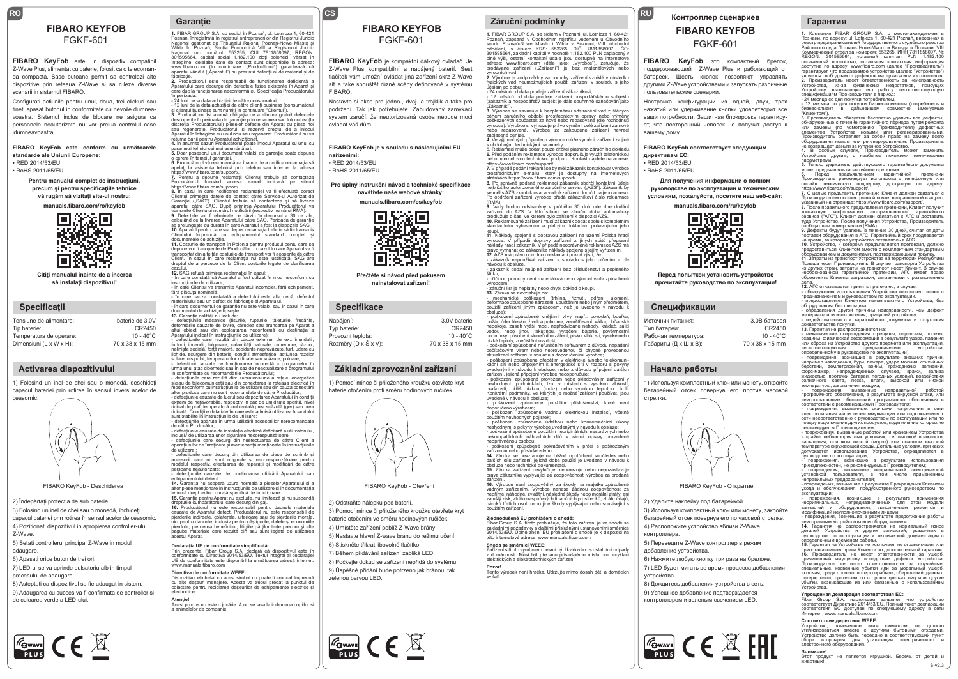# FGKF-601

**FIBARO KeyFob** este un dispozitiv compatibil Z-Wave Plus, alimentat cu baterie, folosit ca o telecomanda compacta. Sase butoane permit sa controlezi alte dispozitive prin reteaua Z-Wave si sa ruleze diverse scenarii in sistemul FIBARO.

Configurati actiunile pentru unul, doua, trei clickuri sau tineti apasat butonul in conformitate cu nevoile dumneavoastra. Sistemul inclus de blocare ne asigura ca persoanele neautorizate nu vor prelua controlul case idumneavoastra.

**FIBARO KeyFob este conform cu următoarele standarde ale Uniunii Europene:** • RED 2014/53/EU

• RoHS 2011/65/EU

**Pentru manualul complet de instrucţiuni, precum şi pentru specificaţiile tehnice vă rugăm să vizitaţi site-ul nostru:**

**manuals.fibaro.com/ro/keyfob**



**Citiţi manualul înainte de a încerca să instalaţi dispozitivul!**

#### **Specificații**

| Tensiune de alimentare: | baterie de 3.0V     |
|-------------------------|---------------------|
| Tip baterie:            | CR2450              |
| Temperatura de operare: | $10 - 40^{\circ}$ C |
| Dimensiuni (L x W x H): | 70 x 38 x 15 mm     |

#### **Activarea dispozitivului**

1) Folosind un inel de chei sau o monedă, deschideți capacul bateriei prin rotirea în sensul invers acelor de ceasornic.



2) Îndepărtați protecția de sub baterie

3) Folosind un inel de chei sau o monedă, închideți capacul bateriei prin rotirea în sensul acelor de ceasornic. 4) Pozitionati dispozitivul in apropierea controller-ului Z-Wave.

5) Setati controllerul principal Z-Wave in modul adaugare.

6) Apasati orice buton de trei ori.

**FOWAVE** CE X

7) LED-ul se va aprinde pulsatoriu alb in timpul procesului de adaugare.

8) Asteptati ca dispozitivul sa fie adaugat in sistem. 9) Adaugarea cu succes va fi confirmata de controller si

de culoarea verde a LED-ului.

#### **RO CSS CSS Garanție**

**FIBARO KEYFOB 1.** FIBARO KEYFOB **1.** FIBARO KEYFOB **1.** FIBARO KEYFOB **1. FIBAR GROUP S.A.** se sídlem v f Poznań, înregistrată în registrul antreprenorilor din Registrul Juridic<br>Național gestionat de Tribunalul Raional Poznań-Nowe Miasto și<br>Wilda în Poznań, Secția Economică VIII a Registrului Juridic Național sub numărul: 553265, CUI 7811858097, REGON:<br>301595664, capital social 1.182.100 zloți polonezi, vărsat în întregime, celelalte date de contact sunt disponibile la adresa:<br>www.fibaro.com (în continuare: "Producîtorul") garantează că<br>aparatul vândut ("Aparatul") nu prezintă defecțiuni de material și de fabricaţie. **2.** Producătorul este responsabil de funcţionarea deficientă a

Aparatului care decurge din defectele fizice existente în Aparat şi care duc la funcţionarea neconformă cu Specificaţia Producătorului

în perioada:<br>- 24 luni de la data achiziției de către consumatori,<br>- 12 luni de la data achiziției de către clienți business (consumatorul<br>și clientul business sunt numiți în continuare "Clientul").<br>3. Producătorul fși asu sau regenerate. Producătorul își rezervă dreptul de a înlocui Aparatul în întregime cu unul nou sau regenerat. Producătorul nu va

returna banii pentru Aparatul achiziționat.<br>4. În anumite cazuri Producătorul poate înlocui Aparatul cu unul cu<br>5. Doar posesorul unui document valabil de garanție poate depune<br>5. Doar posesorul unui document valabil de ga

https://www.fibaro.com/support/. **7.** Pentru a depune reclamaţii Clientul trebuie să contacteze

Producătorul folosind adresa e-mail indicată pe site-ul<br>Artoguciatorul folosind adresa reclamației va fi efectuată corect<br>8. În cazul în care notificarea reclamației va fi efectuată corect<br>Clientul primește datele de conta

**9.** Defectele vor fi eliminate cel târziu în decursul a 30 de zile,<br>calculând de la livrarea Aparatului către SAG. Perioada de garanție se prelungește cu durata în care Aparatul a fost la dispoziția SAG<br>10. Aparatul pentru care s-a depus reclamația trebuie să fie transmis<br>Clientului Impreună III cu echipamentul Istandard Tomplet III<br>documentele de achiziți

Client. In cazul în care reclamația nu este justificată, SAG are<br>dreptul de a percepe de la Client costurile legate de clarificarea

cazului.<br>12. SAG refuză primirea reclamației în cazul:<br>- în care constată că Aparatul a fost utilizat în mod neconform cu<br>instrucțiunile de utilizare,<br>- în care Clientul va transmite Aparatul incomplet, fără echipament,<br>fă

- în care cauza constatată a defectului este alta decât defectul

materialului sau un defect de fabricaţie al Aparatului, - în care documentul de garanţie nu este valabil sau în cazul în care documentul de achiziție lipsește.<br>**13.** Garanția calității nu include:<br>- defecțiunile mecanice (fisurile, rupturile, tăieturile, frecările,<br>deformările cauzate de lovire, căredea sau aruncarea pe Aparat a

altui obiect sau din exploatarea neconformă cu destinația a Aparatului indicat în instrucțiunile de utilizare); paratului indicat în instrucțiunile de utilizare);<br>defecțiunile care rezultă din cauze externe, de ex.: inundații,

furtuni, incendii, fulgerare, calamități naturale, cutremure, război,<br>neliniște socială, forță majoră, accidente neprevăzute, furt, udare cu<br>lichide, scurgere din baterie, condiții atmosferice; actiunea razelor<br>solare, nis

în conformitate cu recomandările Producătorului; - defecțiunile care rezultă din: supratensiune a rețelei energetice și/sau de telecomunicații sau din conectarea la rețeaua electrică în .<br>mod neconform cu instrucțiunile de utilizare sau din cauza conectării<br>altor produse care nu sunt recomandate de către Producător:

altor produse care nu sunt recomandate de către Producător;<br>- defecțiunile cauzate de lucrul sau depozitarea Aparatului în condiții<br>extrem de nefavorabile, respectiv în caz de umiditate sporită, nivel<br>ridicat de praf, temp

sunt stabilite în instrucțiunile de utilizare; - defecțiunile apărute în urma utilizării accesoriilor nerecomandate de către Producător;<br>- defectiunile cauzate de instalația electrică deficitară a utilizatorului.

- defecțiunile cauzate de instalația electrică deficitară a utilizatorului,<br>inclusiv de utilizarea unor siguranțe necorespunzătoare;<br>- defecțiunile care decurg din neefectuarea de către Client a<br>operatiunilor de înreținere

- defecțiunile care decurg din utilizarea de piese de schimb și accesorii care nu sunt originale și necorespunzătoare pentru modelul respectiv, efectuarea de reparații și modificări de către persoane neautorizate;

- defecțiunile cauzate de continuarea utilizării Aparatului sau echipamentului defect. **14.** Garanția nu acoperă uzura normală a pieselor Aparatului și a

TIBARO KeyFob - Deschiderea and annum and annum annum annum annum annum annum annum annum annum annum annum an<br>the media and the media and the separation of the separation of the separation of the separation of the separa

drepturile cumpărătorului care decurg din gaj. **16.** Producătorul nu este responsabil pentru daunele materiale cauzate de Aparatul defect. Producătorul nu este responsabil de<br>pierderile indirecte, colaterale, ulterioare sau de pierderile morale,<br>nici pentru daunele, inclusiv pentru câștigurile, datele și economiile<br>pierdute, pierde

#### **Declarația UE de conformitate simplificată:**

Prin prezenta, Fibar Group S.A. declară că dispozitivul este în<br>conformitate cu Directiva 2014/53/EU. Textul integral al declarației<br>UE de conformitate este disponibil la următoarea adresă internet: www.manuals.fibaro.com

#### **Directiva de conformitate WEEE:**

Dispozitivul etichetat cu acest simbol nu poate fi aruncat împreună cu alte deșeuri menajere. Acesta va trebui predat la punctul de colectare pentru reciclarea deșeurilor de echipamente electrice și electronice.

**Atenţie!** Acest produs nu este o jucărie. A nu se lasa la indemana copiilor si a animalelor de companie!

## **FIBARO KEYFOB**

### FGKF-601

**FIBARO KeyFob** je kompaktní dálkový ovladač. Je Z-Wave Plus kompatibilní a napájený baterií. Šest tlačítek vám umožní ovládat jiná zařízení skrz Z-Wave síť a take spouštět různé scény definované v systému FIBARO.

Nastavte si akce pro jedno-, dvoj- a trojklik a take pro podržení. Tak jak potřebujete. Zabudovaný zamykací system zaručí, že neutorizovaná osoba nebude moci ovládat váš dům.

#### **FIBARO KeyFob je v souladu s následujícími EU nařízeními:**

• RED 2014/53/EU • RoHS 2011/65/EU

#### **Pro úplný instrukční návod a technické specifikace navštivte naše webové stránky:**

**manuals.fibaro.com/cs/keyfob**



**Přečtěte si návod před pokusem nainstalovat zařízení!**

### **Specifikace**

| Napájení:            | 3.0V baterie        |
|----------------------|---------------------|
| Typ baterie:         | CR2450              |
| Provozní teplota:    | $10 - 40^{\circ}$ C |
| Rozměry (D x Š x V): | 70 x 38 x 15 mm     |
|                      |                     |

#### **Základní zprovoznění zařízení**

1) Pomocí mince či přiloženého kroužku otevřete kryt baterie otočením proti směru hodinových ručiček.



#### 2) Odstraňte nálepku pod baterií.

3) Pomocí mince či přiloženého kroužku otevřete kryt baterie otočením ve směru hodinových ručiček. 4) Umístěte zařízení poblíž Z-Wave brány.

5) Nastavte hlavní Z-wave bránu do režimu učení.

6) Stiskněte třikrát libovolné tlačítko.

7) Během přidávání zařízení zabliká LED.

8) Počkejte dokud se zařízení nepřidá do systému. 9) Úspěšné přidání bude potrzeno jak bránou, tak

zelenou barvou LED.

 $\boxed{\frac{\mathcal{F}_{\text{G} \text{wavel}}}{\text{pus}}}$   $\text{C} \in \mathbb{X}$ 

### **1.** FIBAR GROUP S.A. se sídlem v Poznani, ul. Lotnicza 1, 60-421 Poznań, zapsaná v Obchodním rejstříku vedeném u Obvodníh soudu Poznań-Nowe Miasto i Wilda v Poznani, VIII. obchodní oddělení, s číslem KRS: 553265, DIČ: 7811858097, IČO: 301595664, základní kapitál v hodnotě 1.182.100 PLN zaplacený v<br>plné výši, ostatní kontaktní údaje jsou dostupné na internetové<br>adrese: www.fibaro.com (dále jako: "Výrobce"), zaručuje, že<br>prodávané zařízení ("Zařízení") je

**RU**

**Для получения информации о полном руководстве по эксплуатации и техническим условиям, пожалуйста, посетите наш веб-сайт: manuals.fibaro.com/ru/keyfob**

**FIBARO KeyFob соответствует следующим** 

**FIBARO KeyFob** это компактный брелок, поддерживающий Z-Wave Plus и работающий от батареек. Шесть кнопок позволяют управлять другими Z-Wave устройствами и запускать различные

**Контроллер сценариев FIBARO KEYFOB** FGKF-601

Настройка конфигурации из одной, двух, трех нажатий или удерживание кнопки удовлетворит все ваши потребности. Защитная блокировка гарантирует, что посторонний человек не получит доступ к

пользовательские сценарии.

вашему дому.

**директивам ЕС:** • RED 2014/53/EU • RoHS 2011/65/EU

> **Перед попыткой установить устройство прочитайте руководство по эксплуатации!**

1) Используя комплектный ключ или монету, откройте батарейный отсек повернув его против часовой

3.0В батарея CR2450  $10 - 40^{\circ}$ C 70 x 38 x 15 mm

S-v2.3

**Начало работы**

2) Удалите наклейку под батарейкой.

5) Переведите Z-Wave контроллер в режим

6) Нажмите любую кнопку три раза на брелоке. 7) LED будет мигать во время процесса добавления

8) Дождитесь добавления устройства в сеть. 9) Успешное добавление подтверждается контроллером и зеленым свечением LED.

**FOWAVE** CE X FHI

3) Используя комплектный ключ или монету, закройте батарейный отсек повернув его по часовой стрелке. 4) Расположите устройство вблизи Z-Wave

FIBARO KeyFob - Открытие

Тип батареи: Рабочая температура: Габариты (Д x Ш x В):

стрелки.

контроллера.

устройства.

добавление устройства.

**Гарантия**

1. Компания - FIBAR GROUP - S.A. с местонахождением в<br>Познани, по адресу: ul. Lotnicza 1, 60-421 Роzлаń, внесенная в<br>Реестр предпринимателей Государственного судебного реестра<br>Районного суда Познань Нове-Място и Вильда в REGON: 301595664, уставный капитал PLN 1.182.100 оплаченный полностью, остальная контактная информация доступна по адресу: www.fibaro.com (далее "Производитель") гарантирует, что продаваемое устройство (далее: "Устройство")

является свободным от дефектов материала или изготовления.<br>2. Производитель несет ответственность за неисправность<br>Устройства, из-за физических недостатков, присущих<br>Устройству, вызывающих его работу несоответствующую<br>спе

**3.** Производитель обязуется бесплатно удалить все дефекты, обнаруженные с течение гарантийного периода путем ремонта или замены (по усмотрению Производителя) дефектных элементов Устройства новыми или регенерированными. Производитель оставляет за собой право на замену всего оборудования новым или регенерированным. Производитель не возвращает деньги за купленное Устройство.<br>**4.** В особых случаях, Производитель может заменить<br>Устройство другим, с наиболее похожими техническими параметрами. **5.** Только держатель действующего гарантийного документа может предъявлять гарантийные претензии.<br>**6.** Перед предъявлением гарантийной претензии<br>Производитель рекомендует использовать телефонную или<br>онлайн техническую поддержку, доступную по адресу: https://www.fibaro.com/support/. **7.** С целью предъявить претензию Клиент должен связаться с Производителем по электронной почте, направленной в адрес<br>указанный на странице: https://www.fibaro.com/support/.

указанный на странице: https://www.fibaro.com/support/.<br>8. После правильного предъявления претензии, Клиент получит<br>контактную – информацию – авторизованного – гарантийного<br>сервиса ("АГС"). Клиент должен связаться с АГС и

предоставиться Клиентом вместе с комплектным стандартным оборудованием и документами, подтверждающими покупку. **11.** Затраты на транспорт Устройства на территории Республики Польша несет Производитель. В случае транспорта Устройства из других стран, затраты на транспорт несет Клиент. В случае необоснованной гарантийной претензии, АГС имеет право обременить Клиента затратами, связанными с разъяснением дела.<br>49. АГС откозывается прицять претензию, в спицае

**12.** АГС отказывается принять претензию, в случае:<br>- обнаружения использования Устройства несоответственно с<br>- предсетавлением и руководством по эксплуатации,<br>- предсставления, без шильдика,<br>оборудования, без шильдика, - определения другой причины неисправности, чем дефект материала или изготовления, присущий устройству, недействительности гарантийного документа и отсутствия

доказательства покупки,<br>**13. Гарантия не распространяется на:<br>- механические поврежления (трешины, перепомы, порезы** 

- механические повреждения (трещины, перепомы, порезы,<br>ссадины, физическая деформация в результате удара, падения<br>или оброса на Устройство предназначению<br>несоответствующая предназначению Устройства,<br>определенному в руково

форс-мажор, непредвиденных случаев, кражи, залива жидкостью, протечки батареи, погодных условий, воздействия солнечного света, песка, влаги, высокой или низкой

- отпров ден ранополии восдуха,<br>- повреждения, вызванные неправильной работой<br>программного обеспечения, в результате вирусной атаки, или

программного обеспечения, в результате вирусной атаки, или<br>неиспользование обновлений программного обеспечения в<br>соответствии с рекомендациями Производителя;<br>- повреждения, вызванные: скачками напряжения в сети<br>электропит

- повреждения, вызванные работой или хранением Устройства в крайне неблагоприятных условиях, т.е. высокой влажности, напыления, слишком низкой (мороз) или слишком высокой температуре окружающей среды. Детальные условия, при каких допускается использование Устройства, определяются в<br>руководстве по эксплуатации:

руководстве по «коплуатации»<br>- повреждения, возникшие в результате использования<br>- повреждения, вызванные неправильной электрической<br>- повреждения, вызванные неправильной электрической<br>- повреждения, возникшие врезультате

эксплуатации; - повреждения, возникшие в результате применения неоригинальных, непредназначенных для этой модели запчастей и оборудования, выполнением ремонтов и модификаций неуполномоченными лицами;<br>- повреждения, возникшие в результате продолжения работь

- повреждения, возникшие в результате продолжения работы<br>неисправным Устройством или оборудованием.<br>**14. Г**арантия не распространяется на нормальный износ<br>деталей Устройства и других запчастей, указанных в<br>огределенным вр

причиненный имуществу вследствие дефекта Устройства. Производитель не несет ответственности за случайные, специальные, косвенные убытки или за моральный ущерб, включая, среди прочего, потерю прибыли, сбережений, данных<br>потерю льгот, претензии со стороны третьих лиц или другие потерю льгот, претензии со стороны третьих лиц или другие убытки, возникающие из или связанные с использованием Устройства.

Упрощенная декларация соответствия EC:<br>Fibar Group S.A. настоящим заявляет, что устройство<br>соответствует Директиве 2014/53/EU. Полный текст декларации<br>соответствия EC доступен по следующему адресу в сети<br>Интернет: www.man

**Соответствие директиве WEEE:**<br>Устройство, помеченное этим символом, не должно<br>утилизироваться вместе с другими бытовыми отходами.<br>Устройство должно быть передано в соответствующий пункт<br>электронного оборудования.<br>электро

**Внимание!** Этот продукт не является игрушкой. Беречь от детей и

животных!

доказательства покупки,

температуры, загрязнения воздуха;

výrobních vad.<br>**2.** Výrobce je zodpovědný za poruchy zařízení vzniklé v důsledku<br>fyzických vad neumožnujících použití zařízení v souladu s jeho

účelem po dobu: - 24 měsíců od data prodeje zařízení zákazníkovi, - 12 měsíců od data prodeje zařízení hospodářskému subjektu (zákazník a hospodářský subjekt je dále souhrnně označován jako

"Zákazník").<br>**3.** Výrobce se zavazuje k bezplatnému odstranění vad zjištěných během záručního období prostřednictvím opravy nebo výměny poškozených součástek za nové nebo repasované (dle rozhodnutí výrobce). Výrobce si vyhrazuje právo vyměnit celé zařízení za nové

nebo repasované. Výrobce za zakoupené zařízení nevrací<br>zaplacené peníze.<br>4. Ve výjimečných případech výrobce může vyměnit zařízení za jiné<br>s obdobnými technickými parametry.<br>5. Reklamaci může podat pouze držitel platného z

https://www.fibaro.com/support/. **7.** V případě podání reklamace by měl zákazník kontaktovat výrobce

prostřednictvím e-mailu, který je dostupný na internetových<br>stránkách https://www.fibaro.com/support/.<br>8. Po správně podané reklamaci zákazník obdrží kontaktní údaje<br>nejbližšího autorizovaného záručního servisu ("AZS"). Zá

se měl s AZS zkontaktovat a vadné zařízení doručit na jeho adresu. Po obdržení zařízení výrobce předá zákazníkovi číslo reklamace

(RMA).<br>9. Vady budou odstraněny v průběhu 30 dnů ode dne dodání<br>zařízení do AZS. V této situaci se záruční doba automaticky<br>prodlužuje o čas, ve kterém bylo zařízení k dispozici AZS.<br>10. Reklámované zařízení musí zákazník

koupi.<br>11. Náklady spojené s dopravou zařízení na území Polska hradí<br>výrobce. V případě dopravy zařízení z jiných států přepravní<br>náklady hradí zákazník. V případě neoprávněné reklamace AZS má<br>právo vymáhat od zákazníka ná

štítku, stitku,<br>- příčinou poruchy není materiálová nebo výrobní vada způsobená

výrobcem,<br>- záruční list je neplatný nebo chybí doklad o koupi.

**Спецификации** Источник питания: - záruční list je neplatný nebo chybí doklad o koupi.<br>13. Záruka se nevztahuje na:<br>- mechanické poškození (trhlina, říznutí, odření, ulomení,<br>deformace způsobené nárazem, upuštěním nebo jiným předmělem,<br>použití obsluze); - poškození způsobené vnějšími vlivy, např.: povodeň, bouřka,

požár, úder blesku, živelná pohroma, zemětřesení, válka, občanské nepokoje, zásah vyšší moci, nepředvídané nehody, krádež, zalití vodou nebo jinou tekutinou, vytečení baterie, povětrnostní<br>podmínky: působení slunečního záření, písku, vlhkosti, vysoké nebo<br>nízké teploty, znečištění ovzduší;<br>- poškození způsobené nefunkčním softwarem z důvodu napadení

počítačovým virem nebo neprovedenou či chybně provedenou aktualizací softwaru v souladu s doporučeními výrobce; - poškození způsobené přepětím v elektrické a/nebo telekomuni-

kační síti nebo připojením k energetické síti v rozporu s pokyny uvedenými v návodu k obsluze, nebo z důvodu připojení dalších zařízení, jejichž připojení výrobce nedoporučuje;<br>zařízení, jejichž připojení výrobce nebo skladováním zařízení v<br>nevhodných podmínkách, tzn. v místech s vysokou vlhkostí,<br>prašností, přiliš nízkou (mráz) nebo vysokou teplo

doporučeno výrobcem; - poškození způsobené vadnou elektrickou instalací, včetně

použitím nevhodných pojistek;<br>- poškození zpúsobené údržbou nebo konzervačními úkony<br>neshodnými s pokyny výrobce uvedenými v návodu k obsluze;<br>- poškození zpúsobené použitím neoriginálních, nesprávných nebo<br>nekompatibilníc neoprávněnou osobou; - poškození způsobené pokračováním v práci s poškozeným

zařízením nebo příslušenstvím. **14.** Záruka se nevztahuje na běžné opotřebení součástek nebo dalších dílů zařízení, jejichž doba použití je uvedena v návodu k obsluze nebo technické dokumentaci.<br>**15.** Záruka zařízení nevylučuje, neomezuje nebo nepozastavuje<br>práva zákazníka vyplývající ze zodpovědnosti výrobce za prodané zařízení. **16.** Výrobce není zodpovědný za škody na majetku způsobené vadným zařízením. Výrobce nenese žádnou zodpovědnost za nepřímé, náhodné, zvláštní, následné škody nebo morální ztráty, ani za ušlý zisk, ztrátu naspořených finančních prostředků, ztrátu údajů, nároků třetích osob nebo jiné škody vyplývající nebo související s použitím zařízení.

**Zjednodušené EU prohlášení o shodě:** Fibar Group S.A. tímto prohlašuje, že toto zařízení je ve shodě se základními požadavky a dalšími příslušnými ustanoveními směrnice 2014/53/EU. Úplné znění EU prohlášení o shodě je k dispozici na eto: opinc znem Eo promasem o snoa<br>ernetové adrese: www.manuals.fibaro.com **Shoda se směrnicí WEEE:**<br>Zařízení s tímto symbolem nesmí být likvidováno s ostatními odpady<br>z domácnosti. Musí být předáno příslušnému místu pro recyklaci

**Pozor!** Tento výrobek není hračka. Udržujte mimo dosah dětí a domácích

elektrických a elektrotechnických zařízení.

zvířat!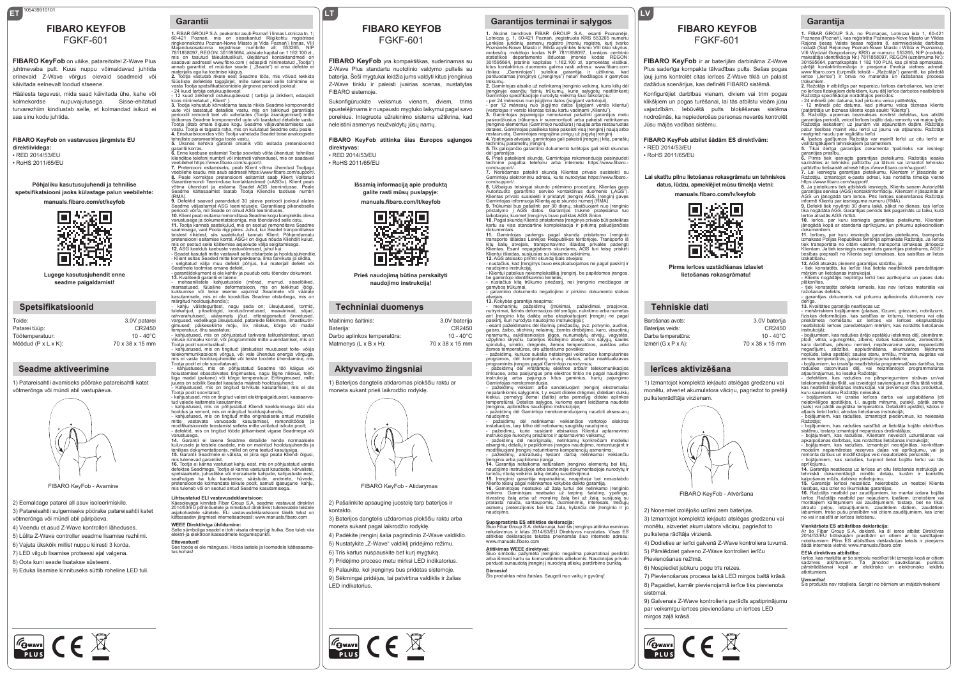## **ET LT** 105439910101 FGKF-601

**FIBARO KeyFob** on väike, patareitoitel Z-Wave Plus juhtmevaba pult. Kuus nuppu võimaldavad juhtida erinevaid Z-Wave võrgus olevaid seadmeid või käivitada eelnevalt loodud stseene.

Häälesta tegevusi, mida saad käivitada ühe, kahe või kolmekordse nupuvajutusega. Sisse-ehitatud turvarezhiim kindlustab selle, et kolmandad isikud ei saa sinu kodu juhtida.

#### **FIBARO KeyFob on vastavuses järgmiste EU direktiividega:** • RED 2014/53/EU

• RoHS 2011/65/EU

#### **Põhjaliku kasutusujuhendi ja tehnilise spetsifikatsiooni jaoks külastage palun veebilehte: manuals.fibaro.com/et/keyfob**

は次回<br>次次数 L

**Lugege kasutusjuhendit enne seadme paigaldamist!**

#### **Spetsifikatsioonid**

| 3.0V patarei        |
|---------------------|
| CR2450              |
| $10 - 40^{\circ}$ C |
| 70 x 38 x 15 mm     |
|                     |

### **Seadme aktiveerimine**

1) Patareisahtli avamiseks pöörake patareisahtli katet võtmerõnga või mündi abil vastupäeva.



2) Eemaldage patarei all asuv isoleerimiskile. 3) Patareisahtli sulgemiseks pöörake patareisahtli katet võtmerõnga või mündi abil päripäeva. 4) Veendu et asud Z-Wave kontrolleri läheduses. 5) Lülita Z-Wave controller seadme lisamise rezhiimi. 6) Vajuta ükskõik millist nuppu kiiresti 3 korda. 7) LED vilgub lisamise protsessi ajal valgena. 8) Oota kuni seade lisatakse süsteemi.

9) Eduka lisamise kinnituseks süttib roheline LED tuli.

 $\frac{1}{\sqrt{2\pi}}$   $\epsilon \in \mathbb{X}$ 

### **Garantii**

**FIBARO KEYFOB**<br>
FIBARO KEYFOB 1. FIBAR GROUP S.A. peakontor asub Poznań'i linnas Lotnicza tn. 1;<br>
FIBARO KEYFOB 1. Akcinė bendrovė FIBAR GROUP S.A., esanti Poz<br>
FIGKF-601 21 Poznań, iregistroca in political character all: mis on tasutud täieulatuslikult, ülejäänud kontaktandmed on saadaval aadressil www.fibro.com (edaspidi niinimetatud Tootia" saadaval aadressii www.fibro.com ( edaspidi niinimetatud "Tootja")<br>annab garantiid, et müüdav seade ( "Seado") ei oma defekte ei<br>materjalis ega ka tootmise käigus.<br>2. Tootja vastutab rikete eest Seadme töös, mis võivad tek

- 24 kuud tarbija ostukuupäevast<br>- 12 kuud ärikliendi ostukuupäevast ( tarbija ja äriklient, edaspidi<br>koos niinimetatud . Klient" ).

koos niinimetatud " Kilent" ).<br>3. Tootia kohustub kõrvaldama tasuta rikkis Seadme komponendid 3. Tootja kohustub kõrvaldama tasuta rikkis Seadme komponendid<br>suute või taastatud detailide vastu, mis on tekkinud garantiiaja<br>perioodil remondi teel või vahetades (Tootja äranägemisel) mite<br>töökorras Seadme komponendid u

tehniliste parameetritega toote vastu. **5.** Üksnes kehtiva garantii omanik võib esitada pretensioonid

garantii korras.<br>6. Enne kaebuse esitamist Tootja soovitab võtta ühendust tehnilise<br>klienditoe telefoni numbril või interneti vahendusel, mis on saadaval<br>veebilehel https://www.fibaro.com/support/.<br>7. Preteniooni esita

veebilehe kaudu, mis asub aadressil https://www.fibaro.com/support/. **8.** Peale korrektse pretensiooni esitamist saab Klient Volitatud Garantiremondi Teeninduse kontaktandmed («ASG»). Klient peab võtma ühendust ja esitama Seadet AGS teenindusse. Peale Seadme kättesaamist teatab Tootja Kliendile taotluse numbri

(RMA).<br>**9.** Defektid saavad parandatud 30 päeva perioodi jooksul alates<br>Seadme väljastamist ASG teenindusele. Garantiiaeg pikenebselle<br>perioodi võrra, mil Seade on olnud ASG teeninduses.

**10.** Klient peab esitama remonditava Seadme kogu komplektis oleva varustusega ja dokumentatsiooniga, mis tõendavad selle ostu. 11. Todija kannab saatekulud, mis on seotud remonditava Seadme<br>saatmisega, vaid Poola riigi piires. Juhul, kui Seadet tranporditakse<br>teistest riikidest, siis saatekulud kannab Klient. Põhjendamatu<br>pretensiooni esitam

- Klient esitas Seaded mitte komplektsena, ilma tarvikute ja sildita, - selgitatud välja muu defekti põhjus, kui materjali defekt või

Seadmele tootmise omane defekt,<br>- garantiidokument ei ole kehtiv ja puudub ostu tõendav dokument.<br>- 3. Kvaliteedi garantii ei laiene:<br>- mehaanliistele kahijustustele (mõrad, murrud, sisselõiked,<br>- meraastused, füüslilne de

märgitud hooldusjuhendis);<br>- kähju välisteguritest, `nagu seda on: üleujutused, tormid,<br>tulekahjud, pikselöögid, loodusõnnetused, maavärinad, sõjad,<br>rahvarahutused, vääramatu jõud, ettenägematud õnnetused,<br>vargused, välike

temperatuur, õhu saastatus; - kahjustused, mis on põhjustatud tarkvara talitushäiretest, arvuti viiruse rünnaku korral, või programmide mitte uuendamisel, mis on Tootja poolt soovituslikud; - kahjustused, mis on tingitud: järskudest muutusest toite- või/ja

telekommunikatsiooni võrgus, või vale ühendus energia võrguga,<br>mis ei vasta hooldusjuhendile või teiste toodete ühendamine, mis<br>Tootja poolt ei ole soovitatavad;<br>- kahjustused, mis on põhjustatud Seadme töö käigus v

hoiustamisel ebasobivates tingimustes, nagu liigne niiskus, tolm, liiga madal (pakane) või kõrge temperatuur. Eritingimused, mille juures on sobilik Seadet kasutada määrab hooldusjuhend; - Kahjustused, mis on tingitud tarvikute kasutamisel, mis ei ole<br>Tootia poolt soovitatud:

.soga poolt soomataa;<br>- kahiustused, mis on tingitud valest elektripaigaldusest, kaasaarva

- kahjustused, mis on tingiud valest elektripaigaldusest, kaasaarva-<br>tud valede kaismete kasutamine;<br>- kahjustused, mis on põhjustatud Kliendi keeldumisega läbi viia<br>hooldus ja remont, mis on märgitud hooldusjuhendis;<br>- ka

- defektid, mis on tingitud tööde jätkamisest vigase Seadmega või

varustusega.<br>**14.** Garantii ei laiene Seadme detailide nende normaalsele **14.** Garantii ei laiene Seadme detailide nende normaalsele<br>kuluvusele ja teistele osadele, mis on mainitud hooldusjuhendis ja<br>tenilises dokumentatioonis, millel on oma teatud kasutusiga.<br>**15.** Garantii Seadmele ei välista

FIBARO KeyFob - Avamine FIBARO KeyFob - Atidarymas mis tulenevad garantiist. **16.** Tootja ei kanna vastutust kahju eest, mis on põhjustatud varale defektse Seadmega. Tootja ei kanna vastutust kaudsete, kõrvaliste,<br>spetsiaalsete, juhuslikke või moraalsete kahjude, kahjustuste eest,<br>sealhulgas ka tulu kaotamise, säästude, andmete, hüvede,<br>pretensioonide kol

#### **Lihtsustatud ELI vastavusdeklaratsioon:**

Käesolevaga kinnitab Fibar Group S.A. seadme vastavust direktiivi 2014/53/EU põhinõuetele ja nimetatud direktiivist tulenevatele teistele asjakohastele sätetele. ELi vastavusdeklaratsiooni täielik tekst on kättesaadav järgmisel internetiaadressil: www.manuals.fibaro.com

**WEEE Direktiiviga ühildumine:**<br>Selle sümboliga seadet ei tohi visata olmeprügi hulka. See tuleb viia<br>elektri-ja elektroonikaseadmete kogumispunkti. **Ettevaatust!**

**tust:**<br>de ei ole mänguasi. Hoida lastele ja loomadele kättesaama tus kohas!

## **FIBARO KEYFOB**

## FGKF-601

**FIBARO KeyFob** yra kompaktiškas, suderinamas su Z-Wave Plus standartu nuotolinio valdymo pultelis su baterija. Šeši mygtukai leidžia jums valdyti kitus įrenginius Z-Wave tinklu ir paleisti įvairias scenas, nustatytas FIBARO sistemoje.

Sukonfigūruokite veiksmus vienam, dviem, trims spustelėjimams ir nuspausto mygtuko laikymui pagal savo poreikius. Integruota užrakinimo sistema užtikrina, kad neleistini asmenys neužvaldytų jūsų namų.

#### **FIBARO KeyFob atitinka šias Europos sąjungos direktyvas:**

• RED 2014/53/EU • RoHS 2011/65/EU

> **Išsamią informaciją apie produktą galite rasti mūsų puslapyje:**

**manuals.fibaro.com/lt/keyfob**



**Prieš naudojimą būtina perskaityti naudojimo instrukciją!**

#### **Techniniai duomenys**

| Maitinimo šaltinis:                | 3.0V baterija       |
|------------------------------------|---------------------|
| Baterija:                          | CR2450              |
| Darbo aplinkos temperatūra:        | $10 - 40^{\circ}$ C |
| Matmenys $(L \times B \times H)$ : | 70 x 38 x 15 mm     |
|                                    |                     |

### **Aktyvavimo žingsniai**

1) Baterijos dangtelis atidaromas plokščiu raktu ar moneta sukant prieš laikrodžio rodyklę.



2) Pašalinkite apsauginę juostelę tarp baterijos ir kontakto.

3) Baterijos dangtelis uždaromas plokščiu raktu arba moneta sukant pagal laikrodžio rodyklę. 4) Padėkite įrenginį šalia pagrindinio Z-Wave valdiklio. 5) Nustatykite "Z-Wave" valdiklį pridėjimo režimu. 6) Tris kartus nuspauskite bet kurį mygtuką. 7) Pridėjimo proceso metu mirksi LED indikatorius. 8) Palaukite, kol įrenginys bus pridėtas sistemoje. 9) Sėkmingai pridėjus, tai patvirtina valdiklis ir žalias LED indikatorius.

 $\boxed{\mathcal{C}_{\text{Gwave}}$   $\mathcal{C} \in \mathbb{X}$ 

1. Akcinė bendrovė FIBAR GROUP S.A., esanti Poznanėje,<br>Lotnicza g. 1, 60-421 Poznań, įregistruota KRS 553265 numeriu<br>Lenkijos juridinių asmenų registro Įmonių registre, kurį tvarko<br>Poznanės-Nowe Miasto ir Wilda apylinkės t mokesčių mokėtojo kodas NIP 7811858097, Lenkijos centrinio statistikos departamento išduotas įmonės kodas REGON: 301595664, įstatinis kapitalas 1.182.100 zł, apmokėtas visiškai,<br>kitus kontaktinius duomenis galima rasti adresu: www.fibaro.com<br>(toliau: "Gamintojas") suteikia garantiją ir užtikrina, kad<br>parduodamas įrenginys ("Įrenginys

trūkumų. **2.** Gamintojas atsako už netinkamą Įrenginio veikimą, kuris kiltų dėl

[renginyje esančių fizinių trūkumų, kurie sąlygotų neatitinkantį<br>Gamintojo specifikacijoje nurodytą veikimą šiuo laikotarpiu:<br>- per 24 mėnesius nuo įsigijimo datos (įsigijant vertolojui),<br>- per 12 mėnesiu nuo įsigijimo dat

**4.** Ypatingais atvejais, gamintojas gali pakeisti Įrenginį į kitą, panašių<br>techninių parametrų įrenginį. **5.** Tik galiojančio garantinio dokumento turėtojas gali teikti skundus

dėl garantijos. **6.** Prieš pateikiant skundą, Gamintojas rekomenduoja pasinaudoti technine pagalba telefonu arba internetu https://www.fibaro. com/support/.

**7.** Norėdamas pateikti skundą Klientas privalo susisiekti su Gamintoju elektroniniu adresu, kuris nurodytas https://www.fibaro.-

com/support/<br>a. Wizbagus teisingai skundo priėmimo procedurą, Klientas gaus<br>Autorizuoto garantinio serviso kontaktinius duomenis ("AGS"),<br>Klientas privalo susislekti ir pristatyti [rengini AGS. [rengini] gavęs<br>Samintojas i

laikotarpiu, kuomet Įrenginys buvo paliktas AGS žinion. **10.** Pagal skundą Kliento pristatomas Įrenginys privalo būti pateiktas kartu su visa standartine komplektacija ir pirkimą paliudijančiais

dokumentais.<br>11. Gamintojas padengs pagal skundą pristatomo Įrenginio<br>transporto išlaidas Lenkijos Respublikos teritorijoje. Transporto iš<br>kitų šalių atvejais, transportavimo išlaidas privalės padengti<br>Klientas. Esant nepa

Klientui išlaidas, susijusias su klausimo aiškinimu.

**12.** AGS atsisako priimti skundą šiais atvejais:<br>- nustačius, kad Įrenginys buvo eksploatuojamas ne pagal paskirtį ir naudojimo instrukciją, - Klientui pateikus nekompleksišką Įrenginį, be papildomos įrangos,

be gamintojo identifikavimo lentelės, - nustačius kitą trūkumo priežastį, nei Įrenginio medžiagos ar

gamybos trūkumai, - garantinio dokumento negaliojimo ir pirkimo dokumento stokos

vejais. ave<sub>vias.</sub><br>13. Kokybės garantija neapima:<br>- mechaniniu pažeidimu (itrūkimai. pažeidimai. prapiovos. - mechaninių pažeidimų (įtrūkimai, pažeidimai, prapiovos,<br>nutrynimai, fizinės deformacijos dėl smūgio, nukritimo arba numetus<br>ant [renginio kitą daiktą arba eksploatuojant [rengini ne pagal<br>paskirtį, kuri nurodyta naudojim

spindulių, smėlio, drėgmės, žemos temperatūros, aukštos arba<br>žemos temperatūros, oro užterštumo poveikio:

žemos temperatūros, oro užterštumo poveikio;<br>- pažeidimų, kuriuos sukelia neteisingai veikinačios kompiuterinės<br>programnės, dėl kompiuterių virusų atakos, arba neaktualizavus<br>programinės įrangos pagal Gamintojo nurodymus;<br> tinkluose, arba pasijungus prie elektros tinklo ne pagal naudojimo instrukciją arba pajungus kitus gaminius, kurių pajungimo

Gamintojas nerekomenduoja.<br>5. pažeidimų veikiant arba sandėliuojant [renginį ekstremaliai<br>nepalankiomis sąlygomis, t.y. esant didelei drėgmei, dideliam dulkių<br>kiekiui, pernelyg žemai (šaltis) arba pernelyg didelei aplinkos

naudojimo; - pažeidimų dėl netinkamai veikiančios vartotojo elektros

instaliacijos, tarp kitko dėl netinkamų saugiklių naudojimo; - pažeidimų, kurie susidarė atsisakius Klientui aptarnavimo<br>instrukcijoje nurodytu priežiūros ir aptarnavimo veiksmu:

instrukcijoje nurodytų priežiūros ir aptarnavimo veiksmų;<br>- pažeidimų dėl neoriginalių, netinkamų konkrečiam modeliui<br>atsarginių detalių ir papildomos įrangos naudojimo, remontuojant ir<br>modifikuojant Įrenginį neturintiems

Įrenginiu arba papildoma įranga, **14.** Garantija netaikoma natūraliam Įrenginio elementų bei kitų,

naudojimo instrukcijoje arba techninėje dokumentacijoje nurodytų ir<br>turinčių ribotą veikimo laiką detailų susidėvėjimui.<br>15. Įtenginio garantija nepanaikina, neapriboja bei nesustabdo<br>Kilento teistų pagal netinkamos kokybė prarasta nauda, santaupomis, duomenimis, interesais, trečiųjų asmenų pretenzijomis bei kita žala, kylančia dėl Įrenginio ir jo

**Supaprastinta ES attikties deklaracija:**<br>Šiuo Fibar Group S.A. deklaruoja, kad šis įrenginys attiinka esminius<br>reikalavimus ir kitas 2014/53/EU Direktyvos nuostatas. Visas ES<br>attikties deklaracijos tekstas prieinamas šiuo

**Atitikimas WEEE direktyvai:**

Siuo simboliu pažymėto įrenginio negalima pakartotinai perdirbti<br>arba išmesti kartu su komunalinėmis atliekomis. Naudotojas privalo<br>perduoti sunaudotą įrenginį į nurodytą atliekų perdirbimo punktą.

naudojimo.

**Dėmesio!** Šis produktas nėra žaislas. Saugoti nuo vaikų ir gyvūnų!

### **FIBARO KeyFob** ir ar baterijām darbināma Z-Wave Plus saderīga kompakta tālvadības pults. Sešas pogas

FGKF-601

**LV**

ļauj jums kontrolēt citas ierīces Z-Wave tīklā un palaist dažādus scenārijus, kas definēti FIBARO sistēmā.

**Garantija FIBARO KEYFOB**

1. FIBAR GROUP S.A. no Poznaņas, Lotnicza iela 1, 60-421<br>Poznaņa (Poznań), kas reģistrēta Poznaņas-Nove Mjasto un Vildas<br>Rajona tiesas Valsts tiesas reģistra 8. saimnieciskās darbības<br>nodaļā (Sąd Rejonowy Poznań-Nowe Miast VIII Wydział Gospodarczy KRS) ar numuru: 553265, NIP (nodokļu maksātāja identifikācija Nr.) 7811858097, REGON (uzņēmuma Nr.): 301595664, pamatkapitāls 1 182 100 PLN, kas pilnībā apmaksāts,<br>pārējā kontaktinformācija ir pieejama tīmekļa vietnes adresē:<br>www.fibaro.com (turpmāk tekstā - "Ražotājs") garantē, ka pārdotā<br>ierīce ("lerīce") ir brīva no ma trūkumiem. **2.** Ražotājs ir atbildīgs par nepareizu Ierīces darbošanos, kas izriet no Ierīces fiziskajiem defektiem, kuru dēļ Ierīce darbotos neatbilstoši<br>Ražotāja specifikācijai norādītajos periodos:<br>- 24 mēneši pēc datuma, kad pirkumu veica patērētājs,

- 12 mēneši pēc datuma, kad pirkumu veica biznesa klients<br>(patērētājs un biznesa klients kopā saukti "Klients").<br>3. Ražotājs apnemas bezmaksas novērst defektus, kas atklāti<br>garantijas periodā, veicot lerīces bojāto daļu re

neatgriež naudu par iegādātu Ierīci. **4.** Īpašos gadījumos Ražotājs var mainīt Ierīci uz citu Ierīci ar vislīdzīgākajiem tehniskajiem parametriem. **5.** Tikai derīga garantijas dokumenta īpašnieks var iesniegt garantijas prasību.<br>**6.** Pirms tiek iesniegts garantijas pieteikums, Ražotājs iesaka<br>sazināties ar tehnisko palīdzību pa tālruni vai izmantot tehnisko<br>palīdzību tiešsaistē adresē https://www.fibaro.com/support/. **7.** Lai iesniegtu garantijas pieteikumu, Klientam ir jāsazinās ar Ražotāju, izmantojot e-pasta adresi, kas norādīta tīmekļa vietnē

https://www.fibaro.com/support/<br>https://www.fibaro.com/support/setable algorithms://www.fibaro.com/setable/arantijas servisa (AGS) kontaktinformāciju. Klientam ir jāsazinās ar<br>AGS un jānogādā tam lerīce. Pēc lerīces saņemš

Ierīce atradās AGS rīcībā. **10.** Ierīce, par kuru iesniegts garantijas pieteikums, Klientam

jänogädä kopä ar standarta aprīkojumu un pirkumu apliecinošiem<br>10. letrons, par kuru iesniegts garantijas pieteikums, transporta<br>11. letroes, par kuru iesniegts garantijas pieteikums, transporta<br>12. letrons, par kuru iesni

- tiek konstatēts, ka Ierīce tika lietota neatbilstoši paredzētajam mērķim un lietošanas instrukcijai, - Klients nogādājis nepilnīgu Ierīci bez aprīkojuma un pases datu plāksnītes, - tiek konstatēts defekta iemesls, kas nav Ierīces materiāla vai ražošanas defekts, - garantijas dokuments vai pirkumu apliecinošs dokuments nav

- mehāniskiem bojājumiem (plaisas, lūzumi, griezumi, nobrāzumi,<br>fiziskas deformācijas, kas saistītas ar kritumu, triecienu vai cita<br>priekšmeta nomešanu uz lerīces vai lerīces ekspluatāciju<br>neatbilstoši lerīces

nstrukcija);<br>· bojājumiem, kas radušies ārējo apstākļu ietekmes dēļ, piemēram plūdi, vētra, ugunsgrēks, zibens, dabas katastrofas, zemestrīce, kara darbības, pilsoņu nemieri, nepārvarama vara, neparedzēti negadījumi, zādzība, appludināšana, akumulatora šķidruma<br>noplūde, laika apstākļi; saules staru, smilšu, mitruma, augstas vai<br>zemas temperatūras, gaisa piesārņojuma ietekme;<br>- bolējumiem, ko izraisīja neatbilstoša programma telekomunikāciju tīklā, vai izveidojot savienojumu ar tīklu tādā veidā, kas neatbilst lietošanas instrukcijai, vai pievienojot citus produktus<br>kuru savienošanu Ražotāis neiesaka: kuru savienošanu Ražotājs neiesaka;<br>- bojājumiem, ko izraisa lerīces darbs vai uzglabāšana ļoti<br>nelabvēlīgos apstākļos, t.i. augsts mitrums, putekļi, pārāk zema<br>(sals) vai pārāk augstāka temperatūra. Detalizēti apstākļi, k - bojājumiem, kas radušies, izmantojot piederumus, ko neiesaka Ražotājs;

- bojājumiem, kas radušies saistībā ar lietotāja bojāto elektrības<br>sistēmu, tostarp izmantojot nepareizus drošinātājus;<br>- bojājumiem, kas radušies, Klientam neveicot uzturēšanas vai<br>apkaļpošanas darbības, kas norādītas lie - bojājumiem, kas radušies, turpinot lietot bojātu Ierīci vai tās aprīkojumu. **14.** Garantija neattiecas uz Ierīces un citu lietošanas instrukcijā un tehniskā dokumentācijā minēto detaļu, kurām ir konkrēts kalpošanas mūžs, dabisko nolietojumu.<br>15. Garantija lerīcei neizslēdz, neierobežo un neatceļ Klienta<br>tiesības, kas izriet no likumiskās garantijas.<br>16. Ražotājs neatbild par nejaušiem, īpašiem, izrietošiem vai<br>lerīce. Ražo morālajiem kaitējumiem vai zaudējumiem, tostarp, bet ne tikai, atrauto peļņu, ietaupījumiem, zaudētiem datiem, zaudētiem labumiem, trešo pušu prasībām vai citiem zaudējumiem, kas izriet

**Vienkāršota ES atbilstības deklarācija:**<br>Ar šo Fibar Group S.A. deklarē, ka šī ierce atbilst Direktīvas<br>2014/53/EU būtiskajām prasībām un citiem ar to saistītajiem<br>noteikumiem. Pilns ES atbilstības deklarācijas teksts ir

**EEIA direktīvas atbilstība:** Ierīce, kas marķēta ar šo simbolu nedrīkst tikt izmesta kopā ar citiem sadzīves atkritumiem. Tā jānodod savākšanas punktos pārstrādāšanai kopā ar elektrisko un elektronisko iekārtu atkritumiem.

Šis produkts nav rotaļlieta. Sargāt no bērniem un mājdzīvniekiem!

izskatīšanu. **12.** AGS atsakās pieņemt garantijas sūdzību, ja:

derīgs. **13.** Kvalitātes garantija neattiecas uz:

no vai ir saistīti ar Ierīces lietošanu.

**Uzmanība!**

noteikumiem. Pilns ES atbilstības deklarācijas<br>šādā interneta vietnē: www.manuals.fibaro.com

instrukcijā);

Konfigurējiet darbības vienam, diviem vai trim pogas klikšķiem un pogas turēšanai, lai tās atbilstu visām jūsu vajadzībām. Iebūvētā pults bloķēšanas sistēma nodrošinās, ka nepiederošas personas nevarēs kontrolēt Jūsu mājās vadības sistēmu.

#### **FIBARO KeyFob atbilst šādām ES direktīvām:** • RED 2014/53/EU

• RoHS 2011/65/EU

#### **Lai skatītu pilnu lietošanas rokasgrāmatu un tehniskos datus, lūdzu, apmeklējiet mūsu tīmekļa vietni:**

**manuals.fibaro.com/lv/keyfob**



**Pirms ierīces uzstādīšanas izlasiet lietošanas rokasgrāmatu!**

**Tehniskie dati**

Baro Bate

| Barošanas avots:                 | 3.0V baterija       |
|----------------------------------|---------------------|
| Baterijas veids:                 | CR2450              |
| Darba temperatūra:               | $10 - 40^{\circ}$ C |
| Izmēri $(G \times P \times A)$ : | 70 x 38 x 15 mm     |

### **Ierīces aktivizēšana**

2) Noņemiet izolējošo uzlīmi zem baterijas. 3) Izmantojot komplektā iekļauto atslēgas gredzenu vai monētu, aizveriet akumulatora vāciņu, pagriežot to

6) Nospiediet jebkuru pogu trīs reizes.

 $\frac{1}{\sqrt{2}}$   $\frac{1}{\sqrt{2}}$ 

4) Dodieties ar ierīci galvenā Z-Wave kontroliera tuvumā. 5) Pārslēdziet galveno Z-Wave kontrolieri ierīču

FIBARO KeyFob - Atvēršana

7) Pievienošanas procesa laikā LED mirgos baltā krāsā. 8) Pagaidiet, kamēr pievienojamā ierīce tiks pievienota

9) Galvenais Z-Wave kontrolieris parādīs apstiprinājumu par veiksmīgu ierīces pievienošanu un ierīces LED

pulksteņa rādītāja virzienā.

Pievienošanas režīmā.

sistēmai.

mirgos zaļā krāsā.

1) Izmantojot komplektā iekļauto atslēgas gredzenu vai monētu, atveriet akumulatora vāciņu, pagriežot to pretēji pulksteņrādītāja virzienam.